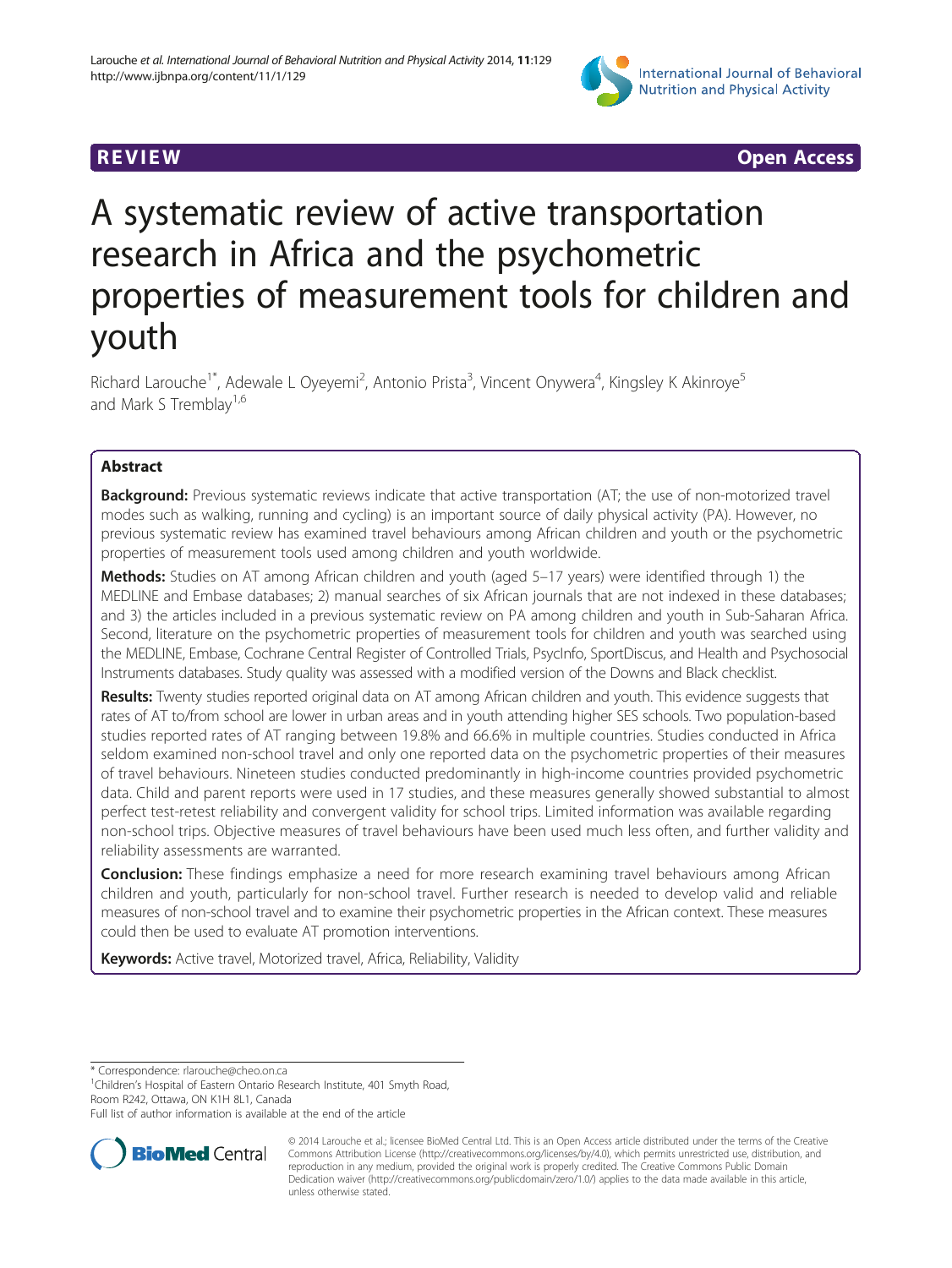

**REVIEW CONSTRUCTION CONSTRUCTION CONSTRUCTS** 

# A systematic review of active transportation research in Africa and the psychometric properties of measurement tools for children and youth

Richard Larouche<sup>1\*</sup>, Adewale L Oyeyemi<sup>2</sup>, Antonio Prista<sup>3</sup>, Vincent Onywera<sup>4</sup>, Kingsley K Akinroye<sup>5</sup> and Mark S Tremblay<sup>1,6</sup>

# Abstract

Background: Previous systematic reviews indicate that active transportation (AT; the use of non-motorized travel modes such as walking, running and cycling) is an important source of daily physical activity (PA). However, no previous systematic review has examined travel behaviours among African children and youth or the psychometric properties of measurement tools used among children and youth worldwide.

Methods: Studies on AT among African children and youth (aged 5-17 years) were identified through 1) the MEDLINE and Embase databases; 2) manual searches of six African journals that are not indexed in these databases; and 3) the articles included in a previous systematic review on PA among children and youth in Sub-Saharan Africa. Second, literature on the psychometric properties of measurement tools for children and youth was searched using the MEDLINE, Embase, Cochrane Central Register of Controlled Trials, PsycInfo, SportDiscus, and Health and Psychosocial Instruments databases. Study quality was assessed with a modified version of the Downs and Black checklist.

Results: Twenty studies reported original data on AT among African children and youth. This evidence suggests that rates of AT to/from school are lower in urban areas and in youth attending higher SES schools. Two population-based studies reported rates of AT ranging between 19.8% and 66.6% in multiple countries. Studies conducted in Africa seldom examined non-school travel and only one reported data on the psychometric properties of their measures of travel behaviours. Nineteen studies conducted predominantly in high-income countries provided psychometric data. Child and parent reports were used in 17 studies, and these measures generally showed substantial to almost perfect test-retest reliability and convergent validity for school trips. Limited information was available regarding non-school trips. Objective measures of travel behaviours have been used much less often, and further validity and reliability assessments are warranted.

**Conclusion:** These findings emphasize a need for more research examining travel behaviours among African children and youth, particularly for non-school travel. Further research is needed to develop valid and reliable measures of non-school travel and to examine their psychometric properties in the African context. These measures could then be used to evaluate AT promotion interventions.

Keywords: Active travel, Motorized travel, Africa, Reliability, Validity

\* Correspondence: [rlarouche@cheo.on.ca](mailto:rlarouche@cheo.on.ca) <sup>1</sup>

<sup>1</sup>Children's Hospital of Eastern Ontario Research Institute, 401 Smyth Road, Room R242, Ottawa, ON K1H 8L1, Canada

Full list of author information is available at the end of the article



<sup>© 2014</sup> Larouche et al.; licensee BioMed Central Ltd. This is an Open Access article distributed under the terms of the Creative Commons Attribution License [\(http://creativecommons.org/licenses/by/4.0\)](http://creativecommons.org/licenses/by/4.0), which permits unrestricted use, distribution, and reproduction in any medium, provided the original work is properly credited. The Creative Commons Public Domain Dedication waiver [\(http://creativecommons.org/publicdomain/zero/1.0/](http://creativecommons.org/publicdomain/zero/1.0/)) applies to the data made available in this article, unless otherwise stated.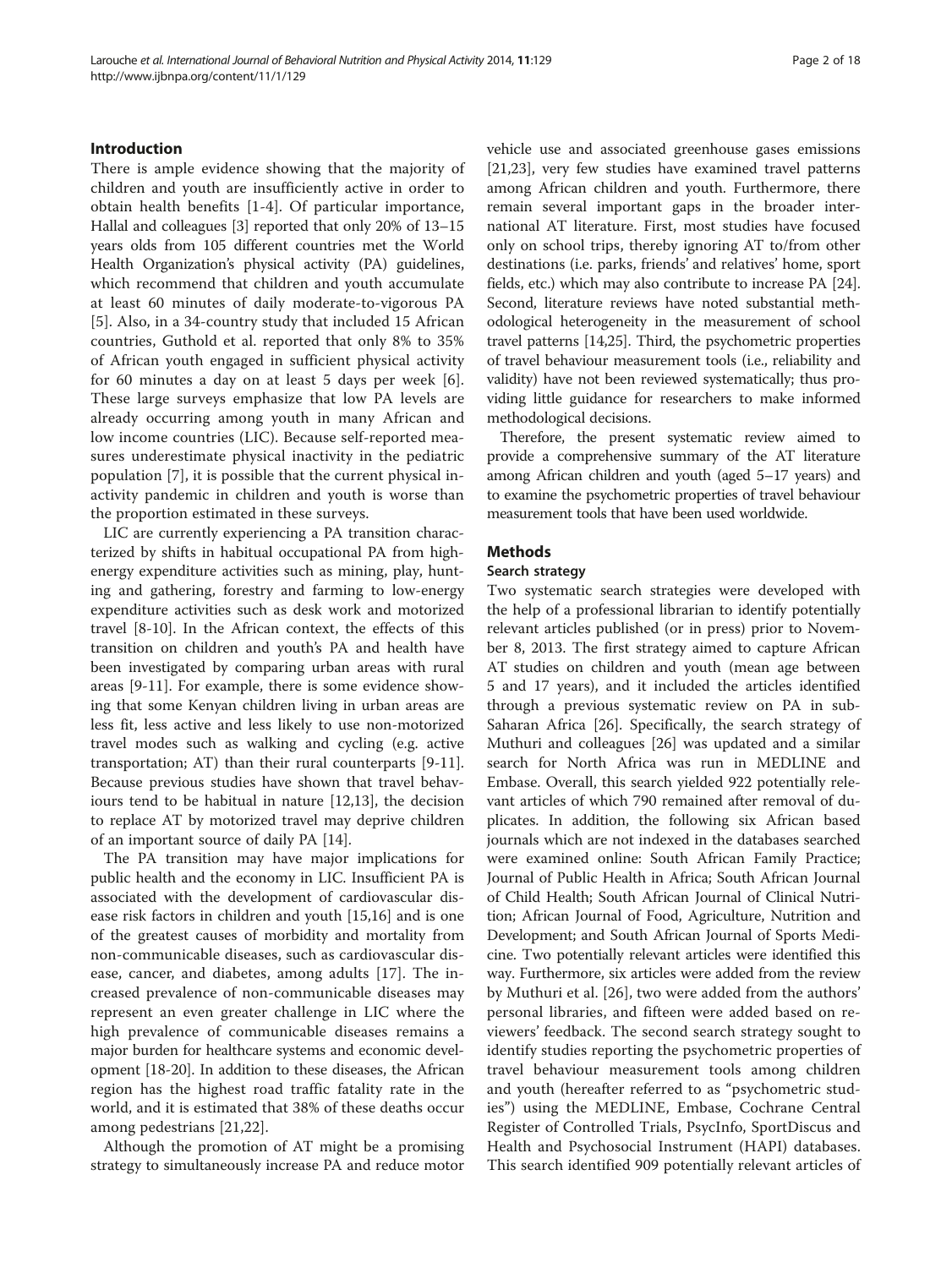# Introduction

There is ample evidence showing that the majority of children and youth are insufficiently active in order to obtain health benefits [[1-4](#page-16-0)]. Of particular importance, Hallal and colleagues [\[3\]](#page-16-0) reported that only 20% of 13–15 years olds from 105 different countries met the World Health Organization's physical activity (PA) guidelines, which recommend that children and youth accumulate at least 60 minutes of daily moderate-to-vigorous PA [[5\]](#page-16-0). Also, in a 34-country study that included 15 African countries, Guthold et al. reported that only 8% to 35% of African youth engaged in sufficient physical activity for 60 minutes a day on at least 5 days per week [\[6](#page-16-0)]. These large surveys emphasize that low PA levels are already occurring among youth in many African and low income countries (LIC). Because self-reported measures underestimate physical inactivity in the pediatric population [[7\]](#page-16-0), it is possible that the current physical inactivity pandemic in children and youth is worse than the proportion estimated in these surveys.

LIC are currently experiencing a PA transition characterized by shifts in habitual occupational PA from highenergy expenditure activities such as mining, play, hunting and gathering, forestry and farming to low-energy expenditure activities such as desk work and motorized travel [[8-10\]](#page-16-0). In the African context, the effects of this transition on children and youth's PA and health have been investigated by comparing urban areas with rural areas [\[9-11](#page-16-0)]. For example, there is some evidence showing that some Kenyan children living in urban areas are less fit, less active and less likely to use non-motorized travel modes such as walking and cycling (e.g. active transportation; AT) than their rural counterparts [[9-11](#page-16-0)]. Because previous studies have shown that travel behaviours tend to be habitual in nature [[12](#page-16-0),[13](#page-16-0)], the decision to replace AT by motorized travel may deprive children of an important source of daily PA [\[14\]](#page-16-0).

The PA transition may have major implications for public health and the economy in LIC. Insufficient PA is associated with the development of cardiovascular disease risk factors in children and youth [\[15,16](#page-16-0)] and is one of the greatest causes of morbidity and mortality from non-communicable diseases, such as cardiovascular disease, cancer, and diabetes, among adults [[17](#page-16-0)]. The increased prevalence of non-communicable diseases may represent an even greater challenge in LIC where the high prevalence of communicable diseases remains a major burden for healthcare systems and economic development [[18-20\]](#page-16-0). In addition to these diseases, the African region has the highest road traffic fatality rate in the world, and it is estimated that 38% of these deaths occur among pedestrians [[21,22\]](#page-16-0).

Although the promotion of AT might be a promising strategy to simultaneously increase PA and reduce motor vehicle use and associated greenhouse gases emissions [[21,23\]](#page-16-0), very few studies have examined travel patterns among African children and youth. Furthermore, there remain several important gaps in the broader international AT literature. First, most studies have focused only on school trips, thereby ignoring AT to/from other destinations (i.e. parks, friends' and relatives' home, sport fields, etc.) which may also contribute to increase PA [[24](#page-16-0)]. Second, literature reviews have noted substantial methodological heterogeneity in the measurement of school travel patterns [[14,25\]](#page-16-0). Third, the psychometric properties of travel behaviour measurement tools (i.e., reliability and validity) have not been reviewed systematically; thus providing little guidance for researchers to make informed methodological decisions.

Therefore, the present systematic review aimed to provide a comprehensive summary of the AT literature among African children and youth (aged 5–17 years) and to examine the psychometric properties of travel behaviour measurement tools that have been used worldwide.

### **Methods**

#### Search strategy

Two systematic search strategies were developed with the help of a professional librarian to identify potentially relevant articles published (or in press) prior to November 8, 2013. The first strategy aimed to capture African AT studies on children and youth (mean age between 5 and 17 years), and it included the articles identified through a previous systematic review on PA in sub-Saharan Africa [[26](#page-16-0)]. Specifically, the search strategy of Muthuri and colleagues [[26\]](#page-16-0) was updated and a similar search for North Africa was run in MEDLINE and Embase. Overall, this search yielded 922 potentially relevant articles of which 790 remained after removal of duplicates. In addition, the following six African based journals which are not indexed in the databases searched were examined online: South African Family Practice; Journal of Public Health in Africa; South African Journal of Child Health; South African Journal of Clinical Nutrition; African Journal of Food, Agriculture, Nutrition and Development; and South African Journal of Sports Medicine. Two potentially relevant articles were identified this way. Furthermore, six articles were added from the review by Muthuri et al. [\[26\]](#page-16-0), two were added from the authors' personal libraries, and fifteen were added based on reviewers' feedback. The second search strategy sought to identify studies reporting the psychometric properties of travel behaviour measurement tools among children and youth (hereafter referred to as "psychometric studies") using the MEDLINE, Embase, Cochrane Central Register of Controlled Trials, PsycInfo, SportDiscus and Health and Psychosocial Instrument (HAPI) databases. This search identified 909 potentially relevant articles of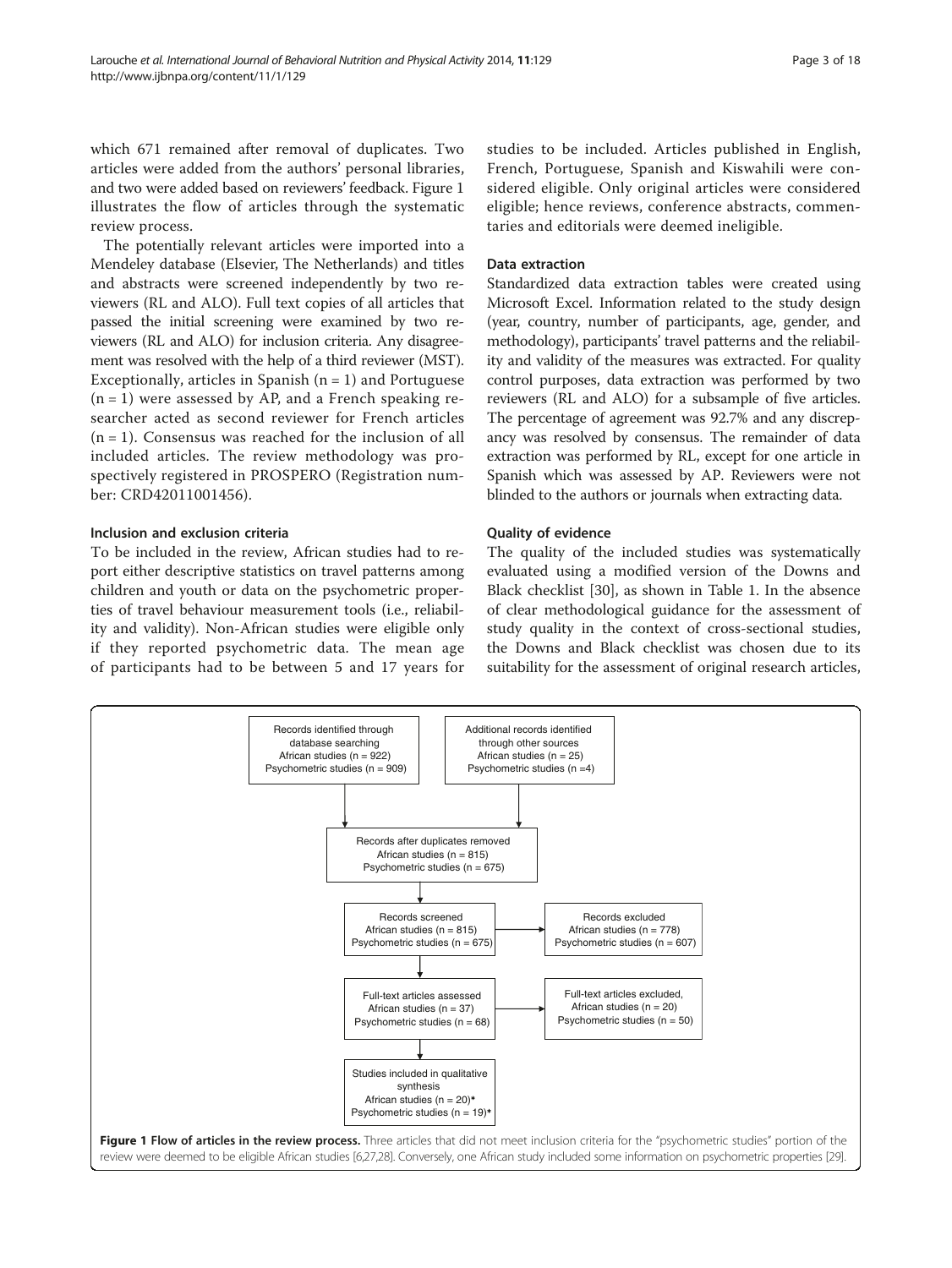which 671 remained after removal of duplicates. Two articles were added from the authors' personal libraries, and two were added based on reviewers' feedback. Figure 1 illustrates the flow of articles through the systematic review process.

The potentially relevant articles were imported into a Mendeley database (Elsevier, The Netherlands) and titles and abstracts were screened independently by two reviewers (RL and ALO). Full text copies of all articles that passed the initial screening were examined by two reviewers (RL and ALO) for inclusion criteria. Any disagreement was resolved with the help of a third reviewer (MST). Exceptionally, articles in Spanish  $(n = 1)$  and Portuguese  $(n = 1)$  were assessed by AP, and a French speaking researcher acted as second reviewer for French articles  $(n = 1)$ . Consensus was reached for the inclusion of all included articles. The review methodology was prospectively registered in PROSPERO (Registration number: CRD42011001456).

# Inclusion and exclusion criteria

To be included in the review, African studies had to report either descriptive statistics on travel patterns among children and youth or data on the psychometric properties of travel behaviour measurement tools (i.e., reliability and validity). Non-African studies were eligible only if they reported psychometric data. The mean age of participants had to be between 5 and 17 years for studies to be included. Articles published in English, French, Portuguese, Spanish and Kiswahili were considered eligible. Only original articles were considered eligible; hence reviews, conference abstracts, commentaries and editorials were deemed ineligible.

# Data extraction

Standardized data extraction tables were created using Microsoft Excel. Information related to the study design (year, country, number of participants, age, gender, and methodology), participants' travel patterns and the reliability and validity of the measures was extracted. For quality control purposes, data extraction was performed by two reviewers (RL and ALO) for a subsample of five articles. The percentage of agreement was 92.7% and any discrepancy was resolved by consensus. The remainder of data extraction was performed by RL, except for one article in Spanish which was assessed by AP. Reviewers were not blinded to the authors or journals when extracting data.

# Quality of evidence

The quality of the included studies was systematically evaluated using a modified version of the Downs and Black checklist [\[30\]](#page-16-0), as shown in Table [1](#page-3-0). In the absence of clear methodological guidance for the assessment of study quality in the context of cross-sectional studies, the Downs and Black checklist was chosen due to its suitability for the assessment of original research articles,

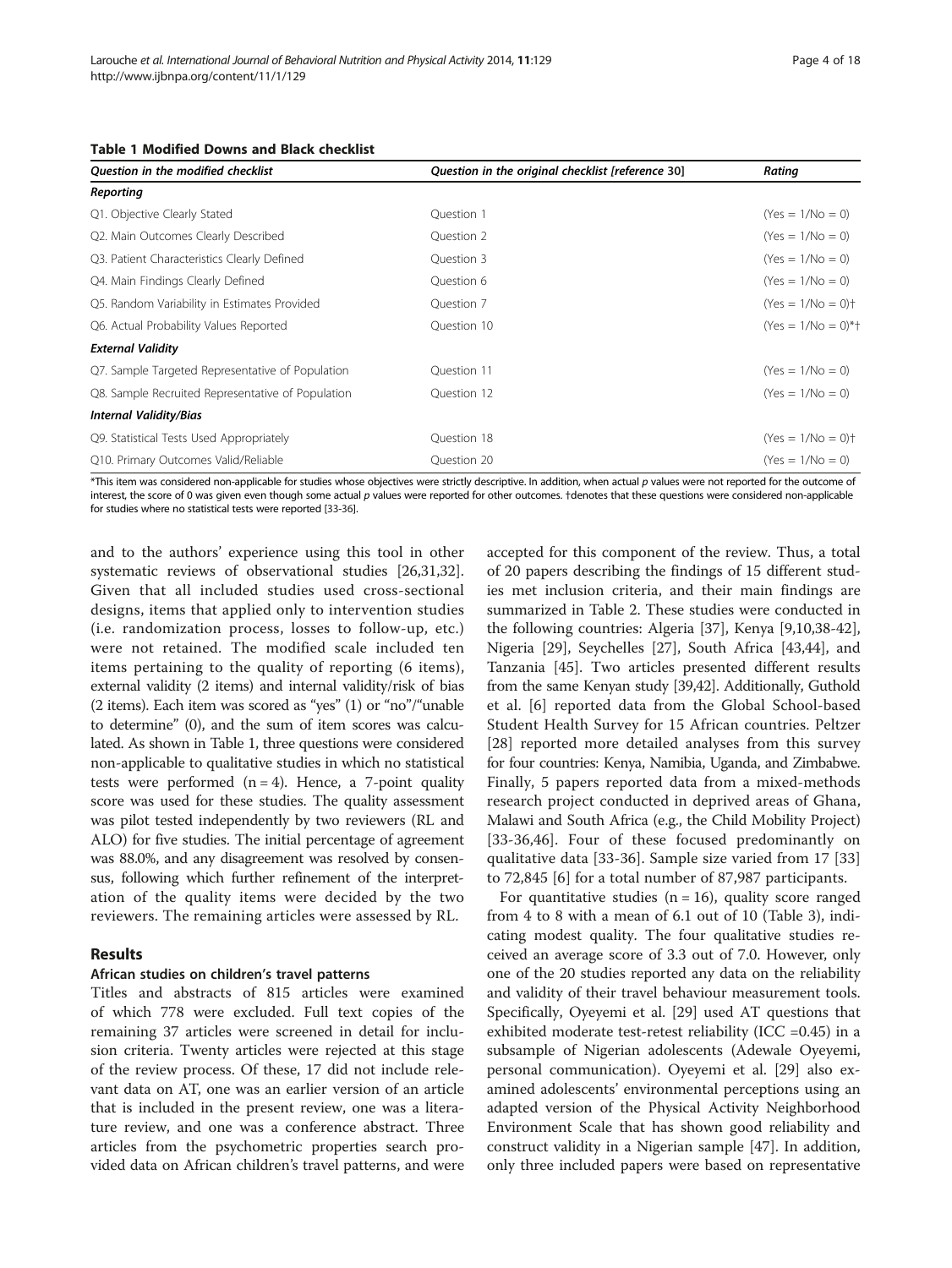| Ouestion in the modified checklist                | Question in the original checklist [reference 30] | Rating                          |
|---------------------------------------------------|---------------------------------------------------|---------------------------------|
| Reporting                                         |                                                   |                                 |
| Q1. Objective Clearly Stated                      | Ouestion 1                                        | $(Yes = 1/No = 0)$              |
| Q2. Main Outcomes Clearly Described               | Ouestion 2                                        | $(Yes = 1/No = 0)$              |
| Q3. Patient Characteristics Clearly Defined       | Ouestion 3                                        | $(Yes = 1/No = 0)$              |
| Q4. Main Findings Clearly Defined                 | Question 6                                        | $(Yes = 1/No = 0)$              |
| Q5. Random Variability in Estimates Provided      | Ouestion 7                                        | $(Yes = 1/No = 0)$              |
| Q6. Actual Probability Values Reported            | Ouestion 10                                       | $(Yes = 1/No = 0)*+$            |
| <b>External Validity</b>                          |                                                   |                                 |
| Q7. Sample Targeted Representative of Population  | Ouestion 11                                       | $(Yes = 1/No = 0)$              |
| Q8. Sample Recruited Representative of Population | Question 12                                       | $(Yes = 1/No = 0)$              |
| <b>Internal Validity/Bias</b>                     |                                                   |                                 |
| Q9. Statistical Tests Used Appropriately          | Ouestion 18                                       | $(Yes = 1/No = 0)$ <sup>+</sup> |
| Q10. Primary Outcomes Valid/Reliable              | Question 20                                       | $(Yes = 1/No = 0)$              |

#### <span id="page-3-0"></span>Table 1 Modified Downs and Black checklist

\*This item was considered non-applicable for studies whose objectives were strictly descriptive. In addition, when actual p values were not reported for the outcome of interest, the score of 0 was given even though some actual p values were reported for other outcomes. †denotes that these questions were considered non-applicable for studies where no statistical tests were reported [[33-36\]](#page-16-0).

and to the authors' experience using this tool in other systematic reviews of observational studies [\[26,31,32](#page-16-0)]. Given that all included studies used cross-sectional designs, items that applied only to intervention studies (i.e. randomization process, losses to follow-up, etc.) were not retained. The modified scale included ten items pertaining to the quality of reporting (6 items), external validity (2 items) and internal validity/risk of bias (2 items). Each item was scored as "yes" (1) or "no"/"unable to determine" (0), and the sum of item scores was calculated. As shown in Table 1, three questions were considered non-applicable to qualitative studies in which no statistical tests were performed  $(n = 4)$ . Hence, a 7-point quality score was used for these studies. The quality assessment was pilot tested independently by two reviewers (RL and ALO) for five studies. The initial percentage of agreement was 88.0%, and any disagreement was resolved by consensus, following which further refinement of the interpretation of the quality items were decided by the two reviewers. The remaining articles were assessed by RL.

# Results

#### African studies on children's travel patterns

Titles and abstracts of 815 articles were examined of which 778 were excluded. Full text copies of the remaining 37 articles were screened in detail for inclusion criteria. Twenty articles were rejected at this stage of the review process. Of these, 17 did not include relevant data on AT, one was an earlier version of an article that is included in the present review, one was a literature review, and one was a conference abstract. Three articles from the psychometric properties search provided data on African children's travel patterns, and were

accepted for this component of the review. Thus, a total of 20 papers describing the findings of 15 different studies met inclusion criteria, and their main findings are summarized in Table [2.](#page-4-0) These studies were conducted in the following countries: Algeria [\[37\]](#page-16-0), Kenya [\[9,10,38-42](#page-16-0)], Nigeria [\[29](#page-16-0)], Seychelles [[27\]](#page-16-0), South Africa [[43,](#page-16-0)[44\]](#page-17-0), and Tanzania [[45](#page-17-0)]. Two articles presented different results from the same Kenyan study [\[39,42](#page-16-0)]. Additionally, Guthold et al. [\[6](#page-16-0)] reported data from the Global School-based Student Health Survey for 15 African countries. Peltzer [[28\]](#page-16-0) reported more detailed analyses from this survey for four countries: Kenya, Namibia, Uganda, and Zimbabwe. Finally, 5 papers reported data from a mixed-methods research project conducted in deprived areas of Ghana, Malawi and South Africa (e.g., the Child Mobility Project) [[33-36,](#page-16-0)[46\]](#page-17-0). Four of these focused predominantly on qualitative data [[33-36](#page-16-0)]. Sample size varied from 17 [\[33](#page-16-0)] to 72,845 [[6\]](#page-16-0) for a total number of 87,987 participants.

For quantitative studies ( $n = 16$ ), quality score ranged from 4 to 8 with a mean of 6.1 out of 10 (Table [3\)](#page-7-0), indicating modest quality. The four qualitative studies received an average score of 3.3 out of 7.0. However, only one of the 20 studies reported any data on the reliability and validity of their travel behaviour measurement tools. Specifically, Oyeyemi et al. [[29](#page-16-0)] used AT questions that exhibited moderate test-retest reliability (ICC =0.45) in a subsample of Nigerian adolescents (Adewale Oyeyemi, personal communication). Oyeyemi et al. [[29\]](#page-16-0) also examined adolescents' environmental perceptions using an adapted version of the Physical Activity Neighborhood Environment Scale that has shown good reliability and construct validity in a Nigerian sample [\[47](#page-17-0)]. In addition, only three included papers were based on representative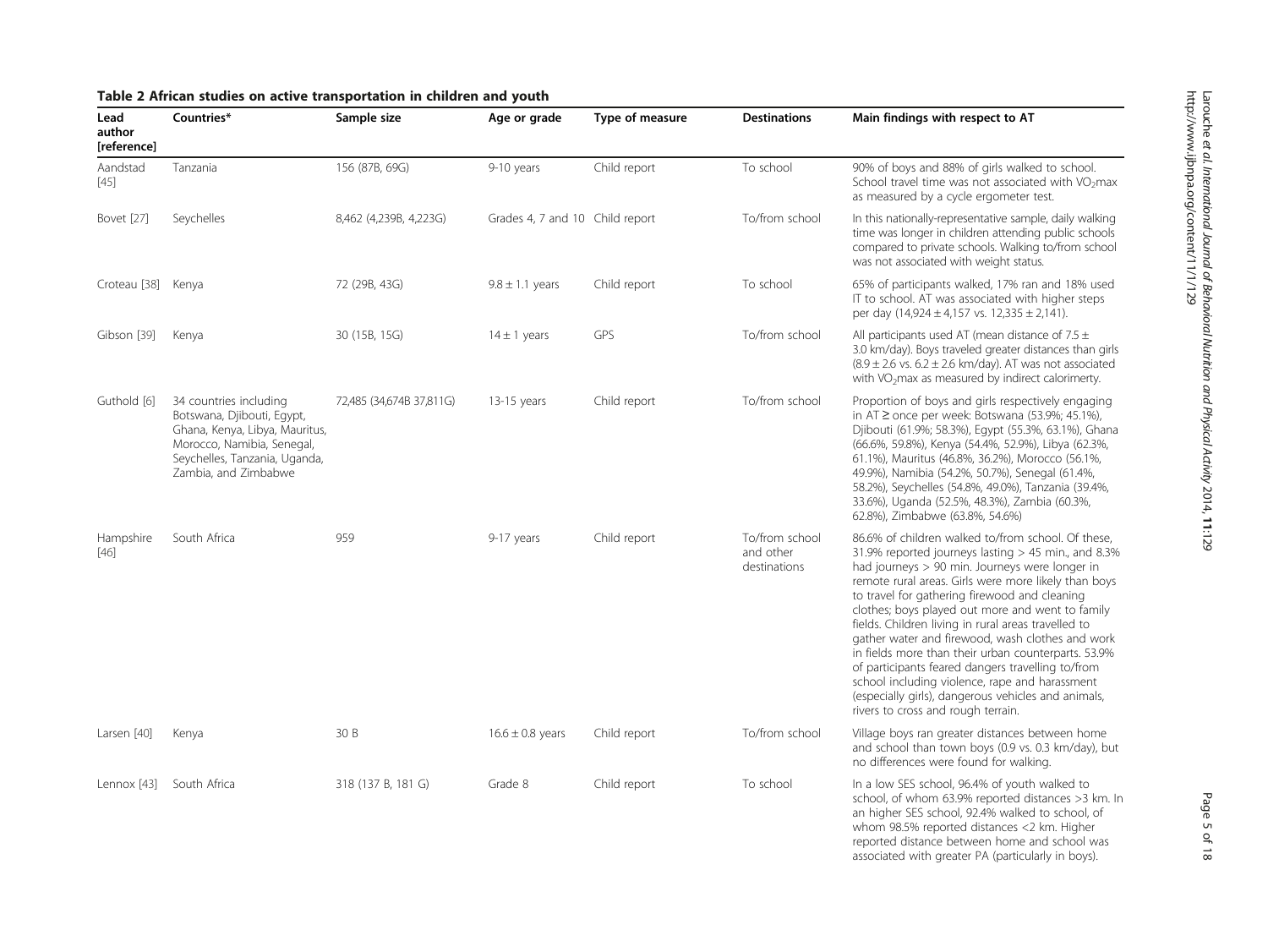| Lead<br>author      | Countries*                                                                                                                                                                    | Sample size              | Age or grade                    | Type of measure | <b>Destinations</b>                         | Main findings with respect to AT                                                                                                                                                                                                                                                                                                                                                                                                                                                                                                                                                                                                                                                                 |
|---------------------|-------------------------------------------------------------------------------------------------------------------------------------------------------------------------------|--------------------------|---------------------------------|-----------------|---------------------------------------------|--------------------------------------------------------------------------------------------------------------------------------------------------------------------------------------------------------------------------------------------------------------------------------------------------------------------------------------------------------------------------------------------------------------------------------------------------------------------------------------------------------------------------------------------------------------------------------------------------------------------------------------------------------------------------------------------------|
| [reference]         |                                                                                                                                                                               |                          |                                 |                 |                                             |                                                                                                                                                                                                                                                                                                                                                                                                                                                                                                                                                                                                                                                                                                  |
| Aandstad<br>$[45]$  | Tanzania                                                                                                                                                                      | 156 (87B, 69G)           | 9-10 years                      | Child report    | To school                                   | 90% of boys and 88% of girls walked to school.<br>School travel time was not associated with VO <sub>2</sub> max<br>as measured by a cycle ergometer test.                                                                                                                                                                                                                                                                                                                                                                                                                                                                                                                                       |
| Bovet [27]          | Seychelles                                                                                                                                                                    | 8,462 (4,239B, 4,223G)   | Grades 4, 7 and 10 Child report |                 | To/from school                              | In this nationally-representative sample, daily walking<br>time was longer in children attending public schools<br>compared to private schools. Walking to/from school<br>was not associated with weight status.                                                                                                                                                                                                                                                                                                                                                                                                                                                                                 |
| Croteau [38] Kenya  |                                                                                                                                                                               | 72 (29B, 43G)            | $9.8 \pm 1.1$ years             | Child report    | To school                                   | 65% of participants walked, 17% ran and 18% used<br>IT to school. AT was associated with higher steps<br>per day $(14,924 \pm 4,157 \text{ vs. } 12,335 \pm 2,141).$                                                                                                                                                                                                                                                                                                                                                                                                                                                                                                                             |
| Gibson [39]         | Kenya                                                                                                                                                                         | 30 (15B, 15G)            | $14 \pm 1$ years                | <b>GPS</b>      | To/from school                              | All participants used AT (mean distance of $7.5 \pm$<br>3.0 km/day). Boys traveled greater distances than girls<br>$(8.9 \pm 2.6 \text{ vs. } 6.2 \pm 2.6 \text{ km/day})$ . AT was not associated<br>with VO <sub>2</sub> max as measured by indirect calorimerty.                                                                                                                                                                                                                                                                                                                                                                                                                              |
| Guthold [6]         | 34 countries including<br>Botswana, Djibouti, Egypt,<br>Ghana, Kenya, Libya, Mauritus,<br>Morocco, Namibia, Senegal,<br>Seychelles, Tanzania, Uganda,<br>Zambia, and Zimbabwe | 72,485 (34,674B 37,811G) | 13-15 years                     | Child report    | To/from school                              | Proportion of boys and girls respectively engaging<br>in AT $\geq$ once per week: Botswana (53.9%; 45.1%),<br>Djibouti (61.9%; 58.3%), Egypt (55.3%, 63.1%), Ghana<br>(66.6%, 59.8%), Kenya (54.4%, 52.9%), Libya (62.3%,<br>61.1%), Mauritus (46.8%, 36.2%), Morocco (56.1%,<br>49.9%), Namibia (54.2%, 50.7%), Senegal (61.4%,<br>58.2%), Seychelles (54.8%, 49.0%), Tanzania (39.4%,<br>33.6%), Uganda (52.5%, 48.3%), Zambia (60.3%,<br>62.8%), Zimbabwe (63.8%, 54.6%)                                                                                                                                                                                                                      |
| Hampshire<br>$[46]$ | South Africa                                                                                                                                                                  | 959                      | 9-17 years                      | Child report    | To/from school<br>and other<br>destinations | 86.6% of children walked to/from school. Of these,<br>31.9% reported journeys lasting $> 45$ min., and 8.3%<br>had journeys > 90 min. Journeys were longer in<br>remote rural areas. Girls were more likely than boys<br>to travel for gathering firewood and cleaning<br>clothes; boys played out more and went to family<br>fields. Children living in rural areas travelled to<br>gather water and firewood, wash clothes and work<br>in fields more than their urban counterparts. 53.9%<br>of participants feared dangers travelling to/from<br>school including violence, rape and harassment<br>(especially girls), dangerous vehicles and animals,<br>rivers to cross and rough terrain. |
| Larsen [40]         | Kenya                                                                                                                                                                         | 30 B                     | $16.6 \pm 0.8$ years            | Child report    | To/from school                              | Village boys ran greater distances between home<br>and school than town boys (0.9 vs. 0.3 km/day), but<br>no differences were found for walking.                                                                                                                                                                                                                                                                                                                                                                                                                                                                                                                                                 |
|                     | Lennox [43] South Africa                                                                                                                                                      | 318 (137 B, 181 G)       | Grade 8                         | Child report    | To school                                   | In a low SES school, 96.4% of youth walked to<br>school, of whom 63.9% reported distances >3 km. In<br>an higher SES school, 92.4% walked to school, of<br>whom 98.5% reported distances <2 km. Higher<br>reported distance between home and school was<br>associated with greater PA (particularly in boys).                                                                                                                                                                                                                                                                                                                                                                                    |

# <span id="page-4-0"></span>Table 2 African studies on active transportation in children and youth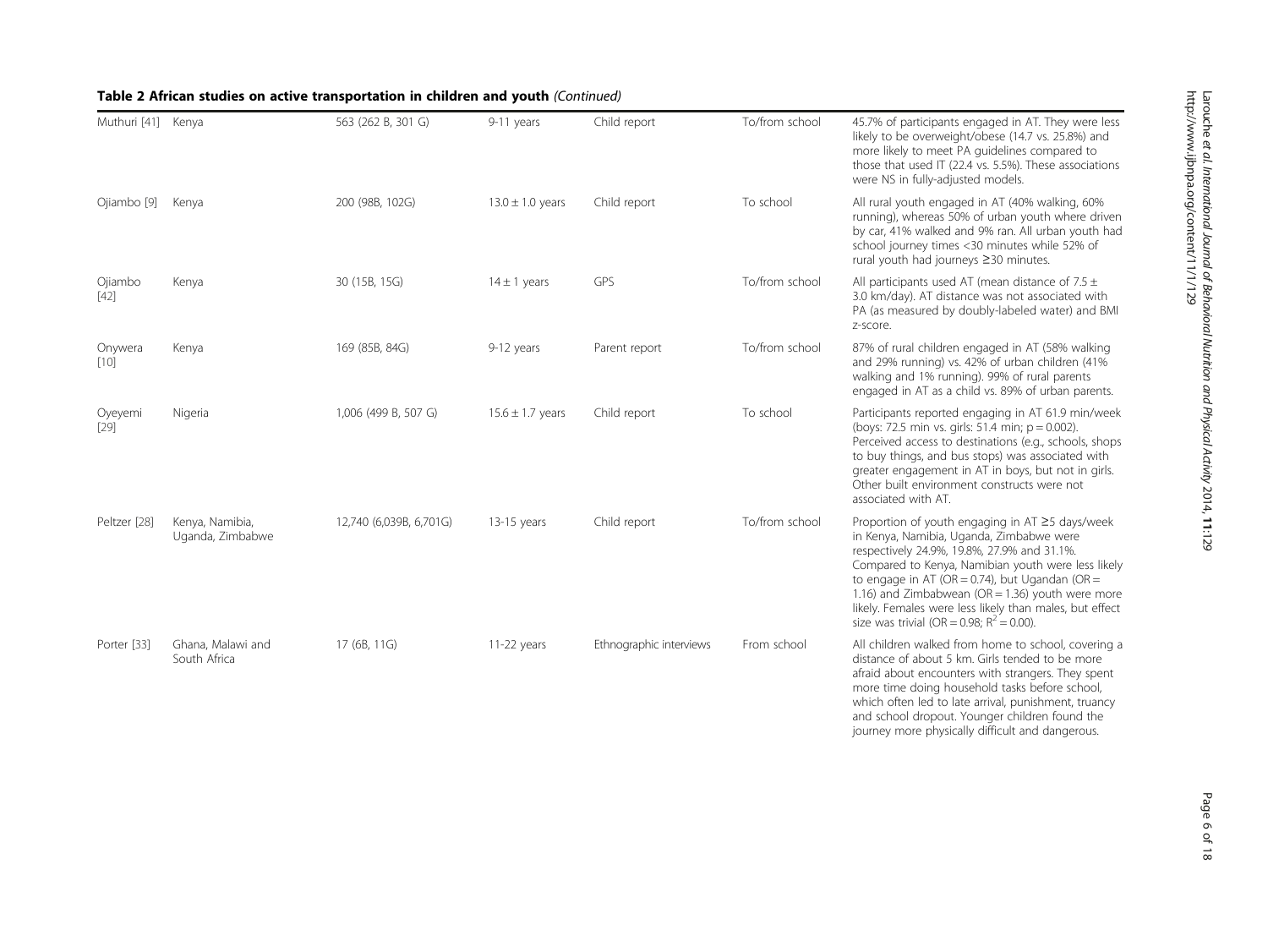| Muthuri [41] Kenya |                                     | 563 (262 B, 301 G)      | 9-11 years           | Child report            | To/from school | 45.7% of participants engaged in AT. They were less<br>likely to be overweight/obese (14.7 vs. 25.8%) and<br>more likely to meet PA guidelines compared to<br>those that used IT (22.4 vs. 5.5%). These associations<br>were NS in fully-adjusted models.                                                                                                                                                                  |
|--------------------|-------------------------------------|-------------------------|----------------------|-------------------------|----------------|----------------------------------------------------------------------------------------------------------------------------------------------------------------------------------------------------------------------------------------------------------------------------------------------------------------------------------------------------------------------------------------------------------------------------|
| Ojiambo [9]        | Kenya                               | 200 (98B, 102G)         | $13.0 \pm 1.0$ years | Child report            | To school      | All rural youth engaged in AT (40% walking, 60%<br>running), whereas 50% of urban youth where driven<br>by car, 41% walked and 9% ran. All urban youth had<br>school journey times <30 minutes while 52% of<br>rural youth had journeys ≥30 minutes.                                                                                                                                                                       |
| Ojiambo<br>$[42]$  | Kenya                               | 30 (15B, 15G)           | $14 \pm 1$ years     | GPS                     | To/from school | All participants used AT (mean distance of $7.5 \pm$<br>3.0 km/day). AT distance was not associated with<br>PA (as measured by doubly-labeled water) and BMI<br>z-score.                                                                                                                                                                                                                                                   |
| Onywera<br>$[10]$  | Kenya                               | 169 (85B, 84G)          | 9-12 years           | Parent report           | To/from school | 87% of rural children engaged in AT (58% walking<br>and 29% running) vs. 42% of urban children (41%<br>walking and 1% running). 99% of rural parents<br>engaged in AT as a child vs. 89% of urban parents.                                                                                                                                                                                                                 |
| Oyeyemi<br>$[29]$  | Nigeria                             | 1,006 (499 B, 507 G)    | $15.6 \pm 1.7$ years | Child report            | To school      | Participants reported engaging in AT 61.9 min/week<br>(boys: 72.5 min vs. girls: 51.4 min; $p = 0.002$ ).<br>Perceived access to destinations (e.g., schools, shops<br>to buy things, and bus stops) was associated with<br>greater engagement in AT in boys, but not in girls.<br>Other built environment constructs were not<br>associated with AT.                                                                      |
| Peltzer [28]       | Kenya, Namibia,<br>Uganda, Zimbabwe | 12,740 (6,039B, 6,701G) | 13-15 years          | Child report            | To/from school | Proportion of youth engaging in $AT \geq 5$ days/week<br>in Kenya, Namibia, Uganda, Zimbabwe were<br>respectively 24.9%, 19.8%, 27.9% and 31.1%.<br>Compared to Kenya, Namibian youth were less likely<br>to engage in AT (OR = 0.74), but Ugandan (OR =<br>1.16) and Zimbabwean ( $OR = 1.36$ ) youth were more<br>likely. Females were less likely than males, but effect<br>size was trivial (OR = 0.98; $R^2$ = 0.00). |
| Porter [33]        | Ghana, Malawi and<br>South Africa   | 17 (6B, 11G)            | $11-22$ years        | Ethnographic interviews | From school    | All children walked from home to school, covering a<br>distance of about 5 km. Girls tended to be more<br>afraid about encounters with strangers. They spent<br>more time doing household tasks before school,<br>which often led to late arrival, punishment, truancy                                                                                                                                                     |

# Table 2 African studies on active transportation in children and youth (Continued)

and school dropout. Younger children found the journey more physically difficult and dangerous.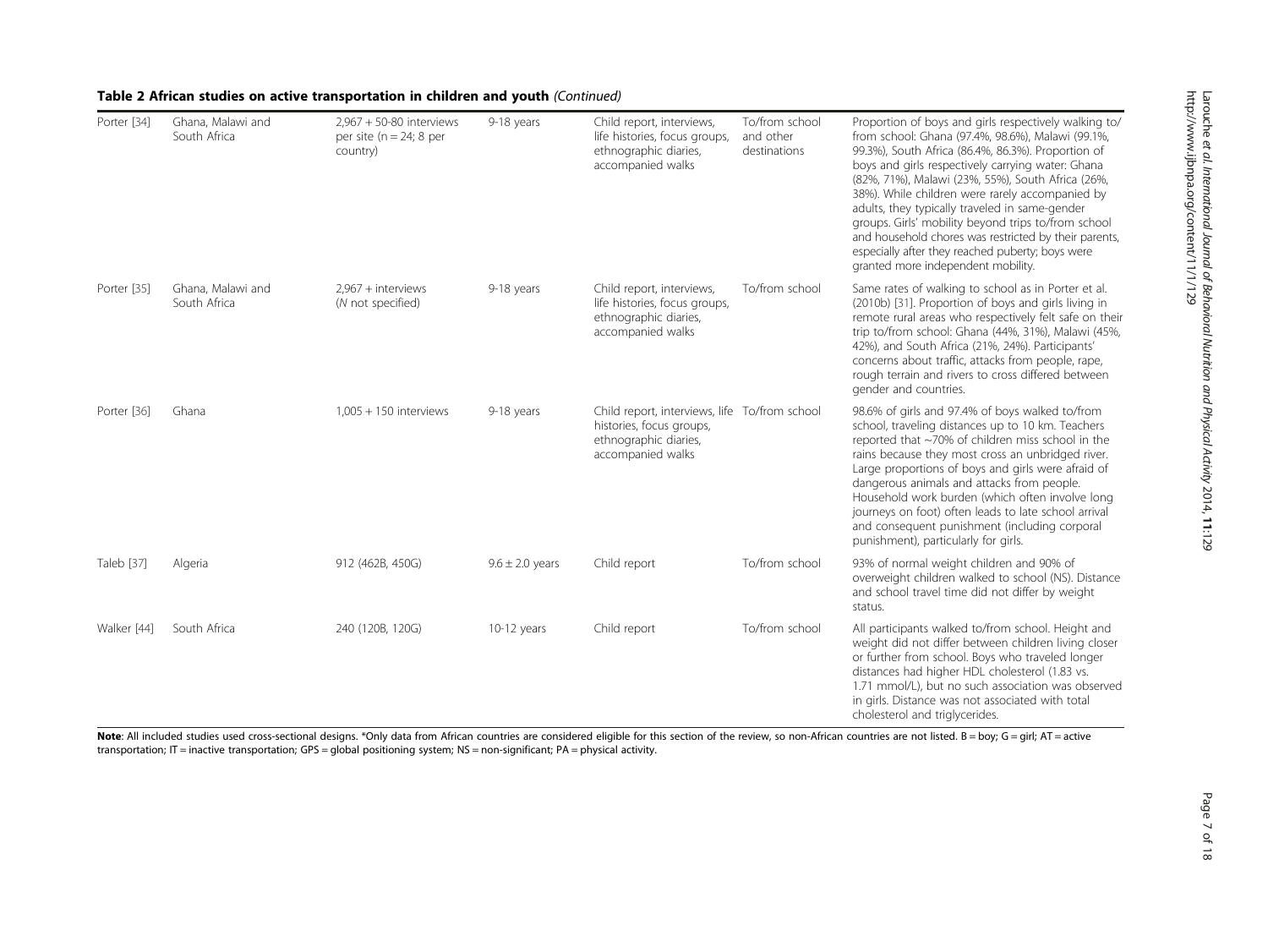| Porter [34] | Ghana, Malawi and                 | $2,967 + 50 - 80$ interviews              | 9-18 years          | Child report, interviews,                                                                                               | To/from school            | Proportion of boys and girls respectively walking to/                                                                                                                                                                                                                                                                                                                                                                                                                                                                            |
|-------------|-----------------------------------|-------------------------------------------|---------------------|-------------------------------------------------------------------------------------------------------------------------|---------------------------|----------------------------------------------------------------------------------------------------------------------------------------------------------------------------------------------------------------------------------------------------------------------------------------------------------------------------------------------------------------------------------------------------------------------------------------------------------------------------------------------------------------------------------|
|             | South Africa                      | per site ( $n = 24$ ; 8 per<br>country)   |                     | life histories, focus groups,<br>ethnographic diaries,<br>accompanied walks                                             | and other<br>destinations | from school: Ghana (97.4%, 98.6%), Malawi (99.1%,<br>99.3%), South Africa (86.4%, 86.3%). Proportion of<br>boys and girls respectively carrying water: Ghana<br>(82%, 71%), Malawi (23%, 55%), South Africa (26%,<br>38%). While children were rarely accompanied by<br>adults, they typically traveled in same-gender<br>groups. Girls' mobility beyond trips to/from school<br>and household chores was restricted by their parents,<br>especially after they reached puberty; boys were<br>granted more independent mobility. |
| Porter [35] | Ghana, Malawi and<br>South Africa | $2,967 +$ interviews<br>(N not specified) | 9-18 years          | Child report, interviews,<br>life histories, focus groups,<br>ethnographic diaries,<br>accompanied walks                | To/from school            | Same rates of walking to school as in Porter et al.<br>(2010b) [31]. Proportion of boys and girls living in<br>remote rural areas who respectively felt safe on their<br>trip to/from school: Ghana (44%, 31%), Malawi (45%,<br>42%), and South Africa (21%, 24%). Participants'<br>concerns about traffic, attacks from people, rape,<br>rough terrain and rivers to cross differed between<br>gender and countries.                                                                                                            |
| Porter [36] | Ghana                             | $1,005 + 150$ interviews                  | 9-18 years          | Child report, interviews, life To/from school<br>histories, focus groups,<br>ethnographic diaries,<br>accompanied walks |                           | 98.6% of girls and 97.4% of boys walked to/from<br>school, traveling distances up to 10 km. Teachers<br>reported that ~70% of children miss school in the<br>rains because they most cross an unbridged river.<br>Large proportions of boys and girls were afraid of<br>dangerous animals and attacks from people.<br>Household work burden (which often involve long<br>journeys on foot) often leads to late school arrival<br>and consequent punishment (including corporal<br>punishment), particularly for girls.           |
| Taleb [37]  | Algeria                           | 912 (462B, 450G)                          | $9.6 \pm 2.0$ years | Child report                                                                                                            | To/from school            | 93% of normal weight children and 90% of<br>overweight children walked to school (NS). Distance<br>and school travel time did not differ by weight<br>status.                                                                                                                                                                                                                                                                                                                                                                    |
| Walker [44] | South Africa                      | 240 (120B, 120G)                          | 10-12 years         | Child report                                                                                                            | To/from school            | All participants walked to/from school. Height and<br>weight did not differ between children living closer<br>or further from school. Boys who traveled longer<br>distances had higher HDL cholesterol (1.83 vs.<br>1.71 mmol/L), but no such association was observed<br>in girls. Distance was not associated with total<br>cholesterol and triglycerides.                                                                                                                                                                     |

Table 2 African studies on active transportation in children and youth (Continued)

Note: All included studies used cross-sectional designs. \*Only data from African countries are considered eligible for this section of the review, so non-African countries are not listed. B = boy; G = girl; AT = active transportation; IT = inactive transportation; GPS = global positioning system; NS = non-significant; PA = physical activity.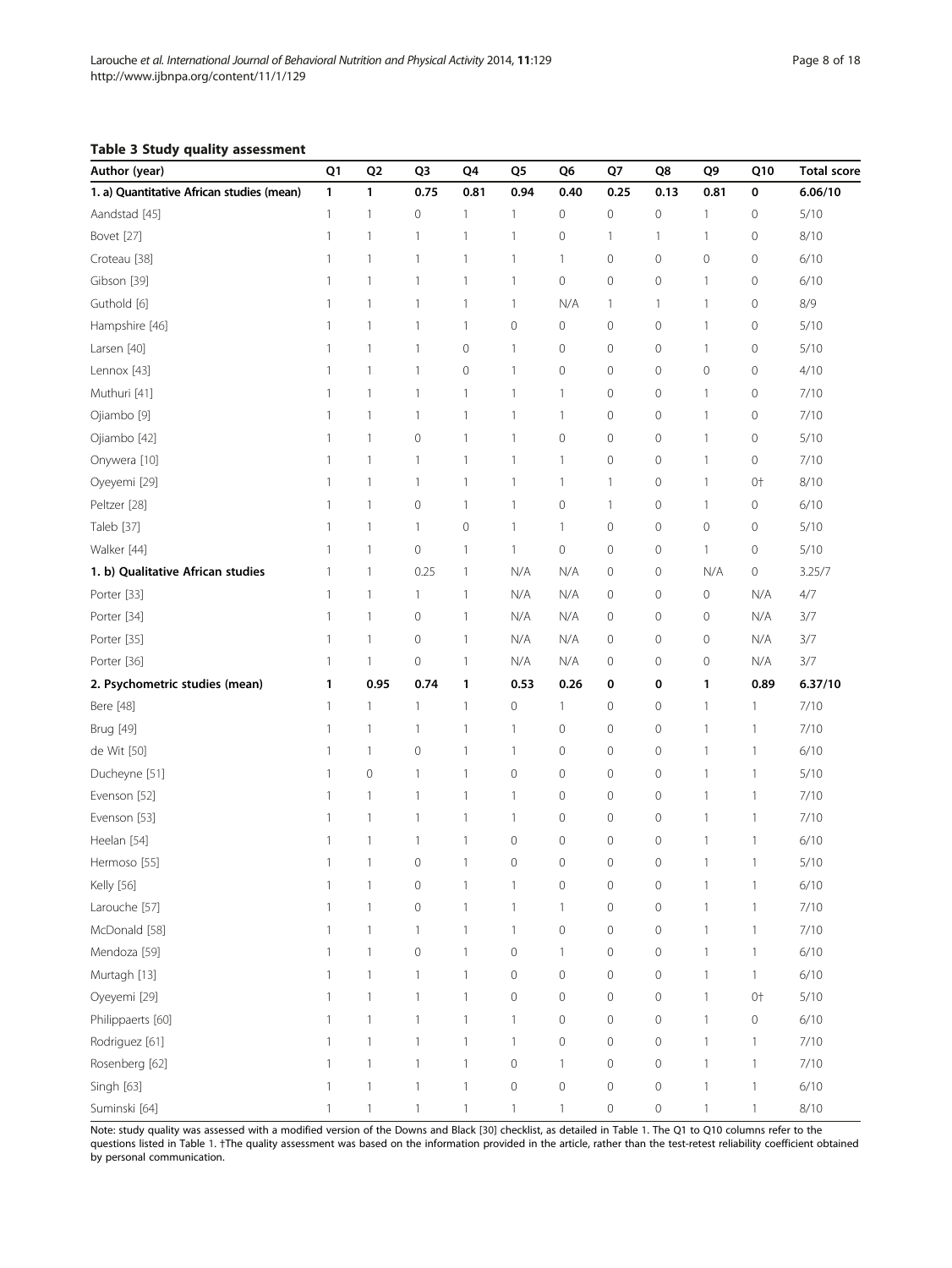# <span id="page-7-0"></span>Table 3 Study quality assessment

| Author (year)                             | Q1           | Q <sub>2</sub> | Q3                  | Q4             | Q5                  | Q6                       | Q7                  | Q8                  | Q9             | Q10                      | <b>Total score</b> |
|-------------------------------------------|--------------|----------------|---------------------|----------------|---------------------|--------------------------|---------------------|---------------------|----------------|--------------------------|--------------------|
| 1. a) Quantitative African studies (mean) | 1            | $\mathbf{1}$   | 0.75                | 0.81           | 0.94                | 0.40                     | 0.25                | 0.13                | 0.81           | 0                        | 6.06/10            |
| Aandstad [45]                             | $\mathbf{1}$ | $\mathbf{1}$   | 0                   | $\mathbf{1}$   | $\mathbf{1}$        | $\mathbf 0$              | 0                   | $\mathbf 0$         | 1              | $\mathbb O$              | 5/10               |
| Bovet [27]                                | $\mathbf{1}$ | $\mathbf{1}$   | 1                   | $\mathbf{1}$   | $\mathbf{1}$        | $\mathbf 0$              | $\mathbf{1}$        | 1                   | $\mathbf{1}$   | $\circ$                  | 8/10               |
| Croteau [38]                              | 1            | $\mathbf{1}$   | 1                   | $\mathbf{1}$   | 1                   | 1                        | 0                   | $\mathbf 0$         | $\circ$        | $\mathbf 0$              | 6/10               |
| Gibson [39]                               | 1            | $\mathbf{1}$   | 1                   | $\mathbf{1}$   | $\mathbf{1}$        | $\mathbf 0$              | 0                   | $\mathbf 0$         | $\mathbf{1}$   | $\mathbf 0$              | 6/10               |
| Guthold [6]                               | 1            | 1              | 1                   | $\mathbf{1}$   | $\mathbf{1}$        | N/A                      | $\mathbf{1}$        | 1                   | $\mathbf{1}$   | $\circ$                  | 8/9                |
| Hampshire [46]                            | 1            | $\mathbf{1}$   | 1                   | $\mathbf{1}$   | $\mathbf 0$         | $\mathbf 0$              | 0                   | $\mathbf 0$         | $\overline{1}$ | $\mathbf 0$              | 5/10               |
| Larsen [40]                               | 1            | $\mathbf{1}$   | 1                   | $\mathbf 0$    | 1                   | $\mathbf 0$              | 0                   | 0                   | $\overline{1}$ | $\mathbf 0$              | 5/10               |
| Lennox [43]                               | 1            | 1              | 1                   | $\mathbf 0$    | $\mathbf{1}$        | $\mathbf 0$              | 0                   | 0                   | $\circ$        | $\circ$                  | 4/10               |
| Muthuri [41]                              | 1            | $\mathbf{1}$   | 1                   | $\mathbf{1}$   | 1                   | 1                        | 0                   | 0                   | 1              | $\mathbf 0$              | 7/10               |
| Ojiambo [9]                               | 1            | $\mathbf{1}$   | 1                   | $\mathbf{1}$   | $\mathbf{1}$        | $\overline{1}$           | 0                   | 0                   | $\mathbf{1}$   | $\circ$                  | 7/10               |
| Ojiambo [42]                              | 1            | $\mathbf{1}$   | 0                   | $\mathbf{1}$   | $\mathbf{1}$        | $\mathbf 0$              | 0                   | 0                   | $\mathbf{1}$   | $\circ$                  | 5/10               |
| Onywera [10]                              | $\mathbf{1}$ | $\mathbf{1}$   | 1                   | $\mathbf{1}$   | 1                   | $\overline{1}$           | 0                   | $\mathbf 0$         | $\mathbf{1}$   | $\mathbb O$              | 7/10               |
| Oyeyemi [29]                              | $\mathbf{1}$ | $\mathbf{1}$   | 1                   | $\mathbf{1}$   | $\mathbf{1}$        | $\overline{1}$           | $\mathbf{1}$        | 0                   | $\mathbf{1}$   | $0+$                     | 8/10               |
| Peltzer [28]                              | 1            | 1              | 0                   | $\mathbf{1}$   | $\mathbf{1}$        | $\mathbf 0$              | $\mathbf{1}$        | $\mathbf 0$         | $\mathbf{1}$   | $\circ$                  | 6/10               |
| Taleb [37]                                | 1            | $\mathbf{1}$   | 1                   | $\mathbf 0$    | $\mathbf{1}$        | $\mathbf{1}$             | 0                   | $\mathbf 0$         | $\circ$        | $\mathbf 0$              | 5/10               |
| Walker [44]                               | $\mathbf{1}$ | $\mathbf{1}$   | 0                   | $\mathbf{1}$   | $\mathbf{1}$        | $\mathbf 0$              | 0                   | $\mathbf 0$         | $\mathbf{1}$   | $\mathbb O$              | 5/10               |
| 1. b) Qualitative African studies         | 1            | 1              | 0.25                | $\mathbf{1}$   | N/A                 | N/A                      | 0                   | $\mathbf 0$         | N/A            | 0                        | 3.25/7             |
| Porter [33]                               | 1            | $\mathbf{1}$   | 1                   | $\mathbf{1}$   | N/A                 | N/A                      | 0                   | 0                   | $\circ$        | N/A                      | 4/7                |
| Porter [34]                               | 1            | $\mathbf{1}$   | 0                   | $\mathbf{1}$   | N/A                 | N/A                      | 0                   | 0                   | 0              | N/A                      | 3/7                |
| Porter [35]                               | 1            | $\mathbf{1}$   | 0                   | $\mathbf{1}$   | N/A                 | N/A                      | 0                   | 0                   | 0              | N/A                      | 3/7                |
| Porter [36]                               | 1            | $\mathbf{1}$   | 0                   | $\mathbf{1}$   | N/A                 | N/A                      | 0                   | 0                   | $\circ$        | N/A                      | 3/7                |
| 2. Psychometric studies (mean)            | 1            | 0.95           | 0.74                | 1              | 0.53                | 0.26                     | 0                   | 0                   | 1              | 0.89                     | 6.37/10            |
| Bere [48]                                 | $\mathbf{1}$ | $\mathbf{1}$   | 1                   | $\mathbf{1}$   | 0                   | $\overline{1}$           | 0                   | 0                   | $\mathbf{1}$   | $\mathbf{1}$             | 7/10               |
| Brug [49]                                 | $\mathbf{1}$ | $\mathbf{1}$   | 1                   | $\mathbf{1}$   | 1                   | $\mathbf 0$              | 0                   | 0                   | $\mathbf{1}$   | $\mathbf{1}$             | 7/10               |
| de Wit [50]                               | $\mathbf{1}$ | $\mathbf{1}$   | 0                   | $\mathbf{1}$   | $\mathbf{1}$        | $\mathbf 0$              | 0                   | 0                   | $\mathbf{1}$   | $\overline{\phantom{a}}$ | 6/10               |
| Ducheyne [51]                             | $\mathbf{1}$ | $\mathbf 0$    | 1                   | $\mathbf{1}$   | $\mathbf 0$         | $\mathbf 0$              | 0                   | $\mathbf 0$         | $\mathbf{1}$   | $\overline{\phantom{a}}$ | 5/10               |
| Evenson [52]                              | 1            | $\mathbf{1}$   | 1                   | $\mathbf{1}$   | $\mathbf{1}$        | $\mathbf 0$              | 0                   | $\mathbf 0$         | $\overline{1}$ | $\mathbf{1}$             | 7/10               |
| Evenson [53]                              | 1            | $\mathbf{1}$   | 1                   | $\mathbf{1}$   | $\mathbf{1}$        | $\mathbf 0$              | 0                   | $\mathbf 0$         | $\overline{1}$ | $\overline{\phantom{a}}$ | 7/10               |
| Heelan [54]                               | 1            | 1              | 1                   | $\mathbf{1}$   | $\mathbf 0$         | $\mathbf 0$              | 0                   | $\mathbf 0$         | $\mathbf{1}$   | $\overline{\phantom{a}}$ | 6/10               |
| Hermoso [55]                              | $\mathbb{1}$ | $\mathbf{1}$   | $\mathbf 0$         | $\mathbf{1}$   | $\mathbf 0$         | $\mathbf 0$              | 0                   | 0                   | $\mathbf{1}$   | $\mathbf{1}$             | 5/10               |
| Kelly [56]                                | $\mathbf{1}$ | $\mathbf{1}$   | 0                   | $\mathbf{1}$   | $\mathbf{1}$        | $\mathsf{O}\xspace$      | $\mathbf 0$         | $\mathbf 0$         | $\mathbf{1}$   | $\mathbf{1}$             | 6/10               |
| Larouche [57]                             | $\mathbf{1}$ | $\mathbf{1}$   | $\mathsf{O}\xspace$ | $\mathbf{1}$   | $\mathbf{1}$        | $\mathbf{1}$             | $\mathsf{O}\xspace$ | $\mathbf 0$         | $\mathbf{1}$   | $\mathbf{1}$             | 7/10               |
| McDonald [58]                             | 1            | $\mathbf{1}$   | 1                   | $\mathbf{1}$   | $\mathbf{1}$        | $\mathbf 0$              | 0                   | 0                   | $\mathbf{1}$   | $\mathbf{1}$             | 7/10               |
| Mendoza [59]                              | $\mathbf{1}$ | $\mathbf{1}$   | 0                   | $\mathbf{1}$   | $\mathbf 0$         | $\overline{\phantom{a}}$ | 0                   | $\mathbf 0$         | $\mathbf{1}$   | $\mathbf{1}$             | 6/10               |
| Murtagh [13]                              | $\mathbf{1}$ | $\mathbf{1}$   | $\mathbf{1}$        | $\mathbf{1}$   | $\mathbf 0$         | $\mathsf{O}\xspace$      | 0                   | $\mathbf 0$         | $\mathbf{1}$   | $\mathbf{1}$             | 6/10               |
| Oyeyemi [29]                              | $\mathbf{1}$ | $\mathbf{1}$   | $\mathbf{1}$        | $\mathbf{1}$   | $\mathbf 0$         | $\mathbf 0$              | 0                   | $\mathbf 0$         | $\mathbf{1}$   | $0+$                     | 5/10               |
| Philippaerts [60]                         | $\mathbf{1}$ | $\mathbf{1}$   | $\mathbf{1}$        | $\mathbf{1}$   | $\mathbf{1}$        | $\mathbf 0$              | $\mathbf 0$         | $\mathsf{O}\xspace$ | $\mathbf{1}$   | $\,0\,$                  | 6/10               |
| Rodriguez [61]                            | $\mathbf{1}$ | $\mathbf{1}$   | $\mathbf{1}$        | $\mathbf{1}$   | $\mathbf{1}$        | $\mathsf{O}\xspace$      | 0                   | 0                   | $\mathbf{1}$   | $\mathbf{1}$             | 7/10               |
| Rosenberg [62]                            | $\mathbf{1}$ | $\mathbf{1}$   | $\mathbf{1}$        | $\mathbf{1}$   | $\mathbf 0$         | $\mathbf{1}$             | 0                   | $\mathbf 0$         | $\mathbf{1}$   | $\mathbf{1}$             | 7/10               |
| Singh [63]                                | $\mathbf{1}$ | $\mathbf{1}$   | $\mathbf{1}$        | $\mathbf{1}$   | $\mathsf{O}\xspace$ | $\mathbf 0$              | 0                   | $\mathsf{O}\xspace$ | $\mathbf{1}$   | $\mathbf{1}$             | 6/10               |
| Suminski [64]                             | 1            | $\overline{1}$ | 1                   | $\overline{1}$ | $\mathbf{1}$        | $\mathbf{1}$             | $\mathsf{O}\xspace$ | $\mathsf{O}\xspace$ | $\mathbf{1}$   | $\overline{1}$           | 8/10               |

Note: study quality was assessed with a modified version of the Downs and Black [[30](#page-16-0)] checklist, as detailed in Table [1](#page-3-0). The Q1 to Q10 columns refer to the questions listed in Table [1](#page-3-0). †The quality assessment was based on the information provided in the article, rather than the test-retest reliability coefficient obtained by personal communication.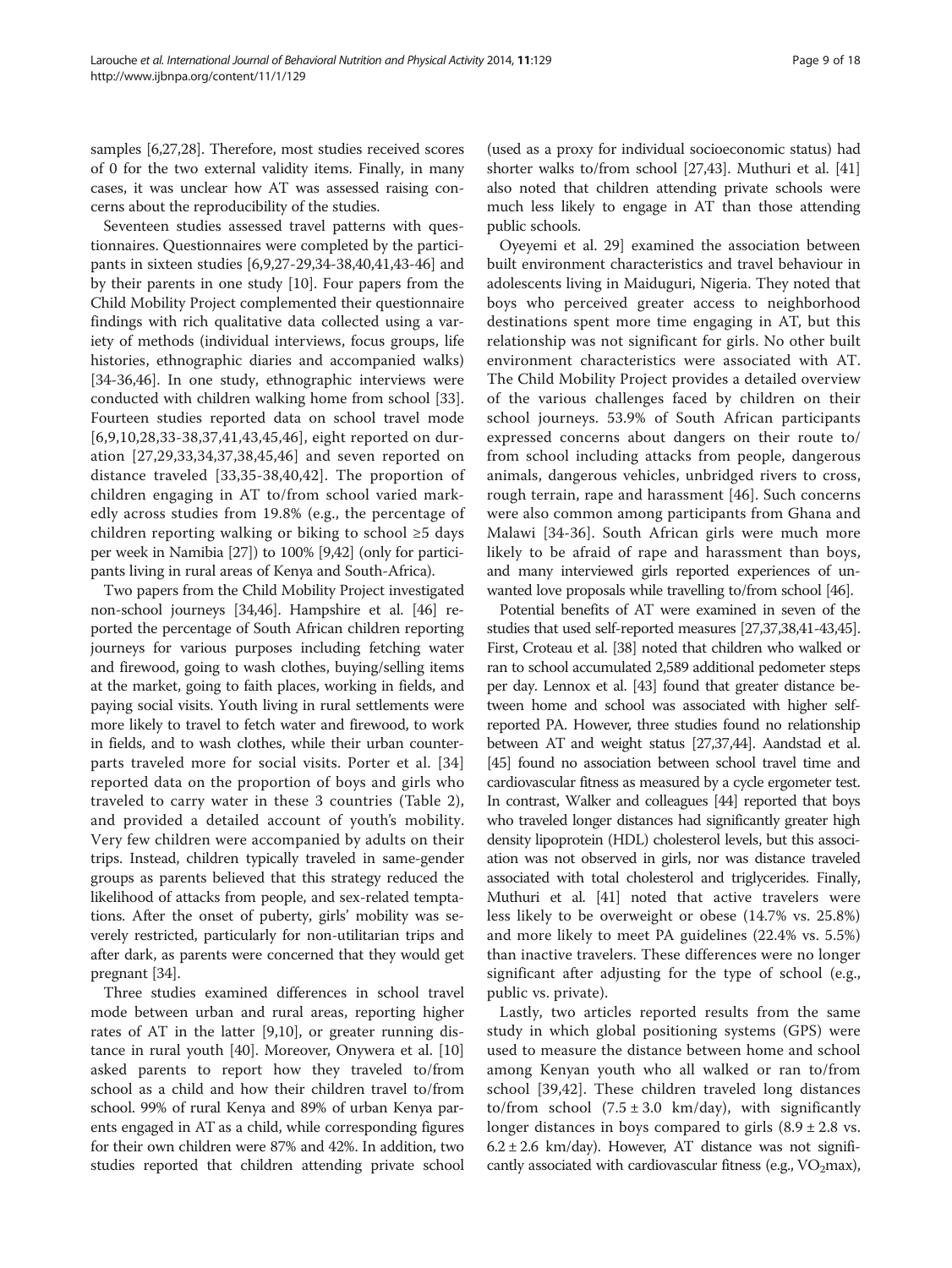samples [[6,27,28\]](#page-16-0). Therefore, most studies received scores of 0 for the two external validity items. Finally, in many cases, it was unclear how AT was assessed raising concerns about the reproducibility of the studies.

Seventeen studies assessed travel patterns with questionnaires. Questionnaires were completed by the participants in sixteen studies [[6,9,27-29,34-38,40,41,43](#page-16-0)-[46\]](#page-17-0) and by their parents in one study [\[10](#page-16-0)]. Four papers from the Child Mobility Project complemented their questionnaire findings with rich qualitative data collected using a variety of methods (individual interviews, focus groups, life histories, ethnographic diaries and accompanied walks) [[34-36](#page-16-0)[,46\]](#page-17-0). In one study, ethnographic interviews were conducted with children walking home from school [\[33](#page-16-0)]. Fourteen studies reported data on school travel mode [[6,9,10,28,33](#page-16-0)-[38,37,41](#page-16-0),[43,](#page-16-0)[45](#page-17-0),[46\]](#page-17-0), eight reported on duration [[27,29,33](#page-16-0),[34,37](#page-16-0),[38,](#page-16-0)[45](#page-17-0),[46\]](#page-17-0) and seven reported on distance traveled [[33](#page-16-0),[35-38,40](#page-16-0),[42\]](#page-16-0). The proportion of children engaging in AT to/from school varied markedly across studies from 19.8% (e.g., the percentage of children reporting walking or biking to school ≥5 days per week in Namibia [[27](#page-16-0)]) to 100% [\[9,42\]](#page-16-0) (only for participants living in rural areas of Kenya and South-Africa).

Two papers from the Child Mobility Project investigated non-school journeys [\[34](#page-16-0)[,46\]](#page-17-0). Hampshire et al. [\[46\]](#page-17-0) reported the percentage of South African children reporting journeys for various purposes including fetching water and firewood, going to wash clothes, buying/selling items at the market, going to faith places, working in fields, and paying social visits. Youth living in rural settlements were more likely to travel to fetch water and firewood, to work in fields, and to wash clothes, while their urban counterparts traveled more for social visits. Porter et al. [\[34](#page-16-0)] reported data on the proportion of boys and girls who traveled to carry water in these 3 countries (Table [2\)](#page-4-0), and provided a detailed account of youth's mobility. Very few children were accompanied by adults on their trips. Instead, children typically traveled in same-gender groups as parents believed that this strategy reduced the likelihood of attacks from people, and sex-related temptations. After the onset of puberty, girls' mobility was severely restricted, particularly for non-utilitarian trips and after dark, as parents were concerned that they would get pregnant [\[34\]](#page-16-0).

Three studies examined differences in school travel mode between urban and rural areas, reporting higher rates of AT in the latter [[9,10\]](#page-16-0), or greater running distance in rural youth [[40\]](#page-16-0). Moreover, Onywera et al. [[10](#page-16-0)] asked parents to report how they traveled to/from school as a child and how their children travel to/from school. 99% of rural Kenya and 89% of urban Kenya parents engaged in AT as a child, while corresponding figures for their own children were 87% and 42%. In addition, two studies reported that children attending private school

(used as a proxy for individual socioeconomic status) had shorter walks to/from school [[27,43](#page-16-0)]. Muthuri et al. [[41](#page-16-0)] also noted that children attending private schools were much less likely to engage in AT than those attending public schools.

Oyeyemi et al. [29\]](#page-16-0) examined the association between built environment characteristics and travel behaviour in adolescents living in Maiduguri, Nigeria. They noted that boys who perceived greater access to neighborhood destinations spent more time engaging in AT, but this relationship was not significant for girls. No other built environment characteristics were associated with AT. The Child Mobility Project provides a detailed overview of the various challenges faced by children on their school journeys. 53.9% of South African participants expressed concerns about dangers on their route to/ from school including attacks from people, dangerous animals, dangerous vehicles, unbridged rivers to cross, rough terrain, rape and harassment [\[46](#page-17-0)]. Such concerns were also common among participants from Ghana and Malawi [\[34](#page-16-0)-[36\]](#page-16-0). South African girls were much more likely to be afraid of rape and harassment than boys, and many interviewed girls reported experiences of unwanted love proposals while travelling to/from school [[46](#page-17-0)].

Potential benefits of AT were examined in seven of the studies that used self-reported measures [\[27,37,38,41](#page-16-0)-[43](#page-16-0)[,45](#page-17-0)]. First, Croteau et al. [\[38\]](#page-16-0) noted that children who walked or ran to school accumulated 2,589 additional pedometer steps per day. Lennox et al. [\[43](#page-16-0)] found that greater distance between home and school was associated with higher selfreported PA. However, three studies found no relationship between AT and weight status [\[27,37,](#page-16-0)[44\]](#page-17-0). Aandstad et al. [[45](#page-17-0)] found no association between school travel time and cardiovascular fitness as measured by a cycle ergometer test. In contrast, Walker and colleagues [[44\]](#page-17-0) reported that boys who traveled longer distances had significantly greater high density lipoprotein (HDL) cholesterol levels, but this association was not observed in girls, nor was distance traveled associated with total cholesterol and triglycerides. Finally, Muthuri et al. [\[41](#page-16-0)] noted that active travelers were less likely to be overweight or obese (14.7% vs. 25.8%) and more likely to meet PA guidelines (22.4% vs. 5.5%) than inactive travelers. These differences were no longer significant after adjusting for the type of school (e.g., public vs. private).

Lastly, two articles reported results from the same study in which global positioning systems (GPS) were used to measure the distance between home and school among Kenyan youth who all walked or ran to/from school [\[39](#page-16-0),[42\]](#page-16-0). These children traveled long distances to/from school  $(7.5 \pm 3.0 \text{ km/day})$ , with significantly longer distances in boys compared to girls  $(8.9 \pm 2.8 \text{ vs.})$  $6.2 \pm 2.6$  km/day). However, AT distance was not significantly associated with cardiovascular fitness (e.g.,  $VO<sub>2</sub>max$ ),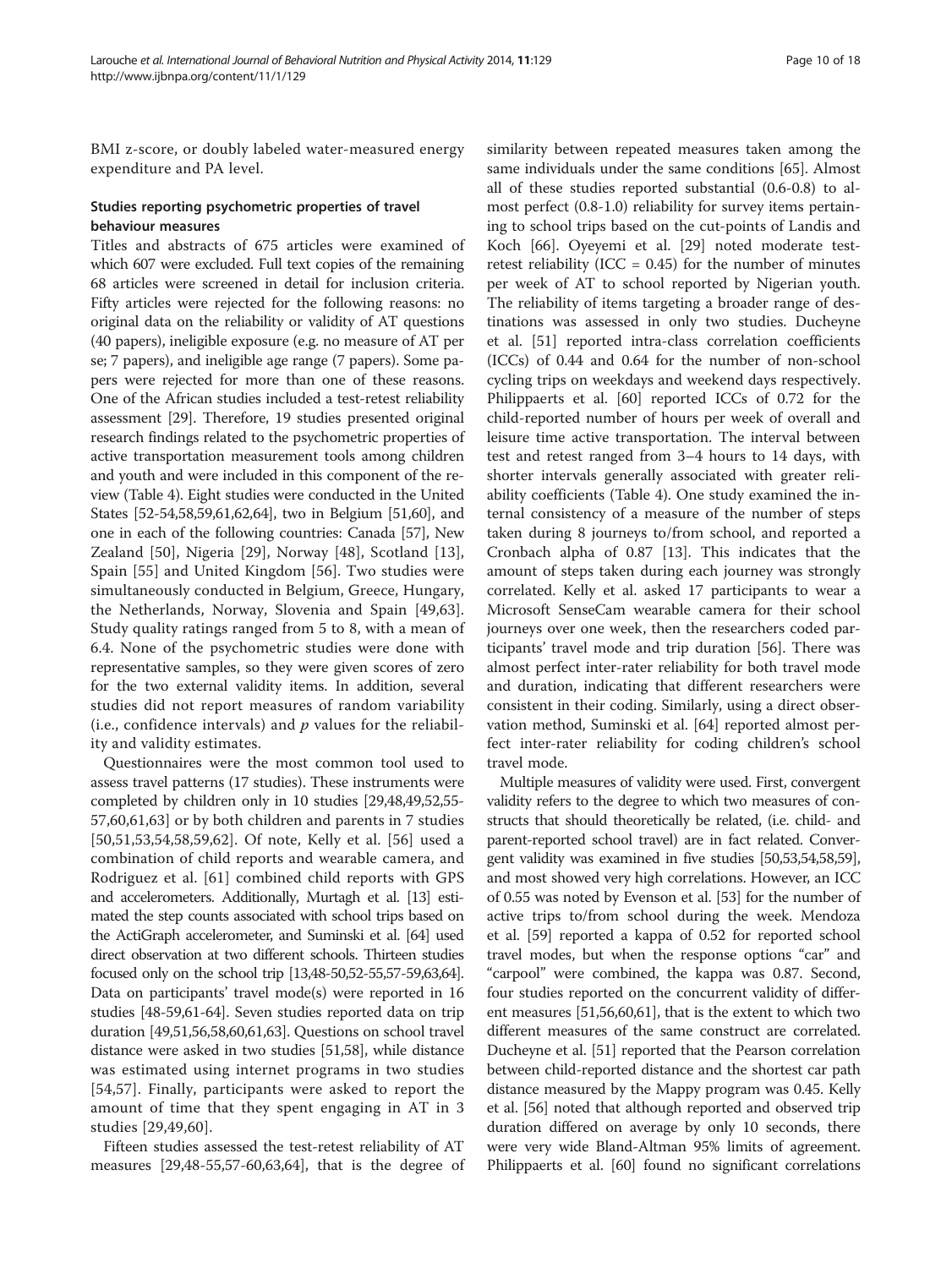BMI z-score, or doubly labeled water-measured energy expenditure and PA level.

# Studies reporting psychometric properties of travel behaviour measures

Titles and abstracts of 675 articles were examined of which 607 were excluded. Full text copies of the remaining 68 articles were screened in detail for inclusion criteria. Fifty articles were rejected for the following reasons: no original data on the reliability or validity of AT questions (40 papers), ineligible exposure (e.g. no measure of AT per se; 7 papers), and ineligible age range (7 papers). Some papers were rejected for more than one of these reasons. One of the African studies included a test-retest reliability assessment [\[29\]](#page-16-0). Therefore, 19 studies presented original research findings related to the psychometric properties of active transportation measurement tools among children and youth and were included in this component of the review (Table [4\)](#page-10-0). Eight studies were conducted in the United States [[52](#page-17-0)-[54](#page-17-0),[58,59,61,62,64\]](#page-17-0), two in Belgium [[51,60](#page-17-0)], and one in each of the following countries: Canada [[57\]](#page-17-0), New Zealand [[50\]](#page-17-0), Nigeria [[29\]](#page-16-0), Norway [[48\]](#page-17-0), Scotland [[13](#page-16-0)], Spain [\[55](#page-17-0)] and United Kingdom [[56\]](#page-17-0). Two studies were simultaneously conducted in Belgium, Greece, Hungary, the Netherlands, Norway, Slovenia and Spain [[49,63](#page-17-0)]. Study quality ratings ranged from 5 to 8, with a mean of 6.4. None of the psychometric studies were done with representative samples, so they were given scores of zero for the two external validity items. In addition, several studies did not report measures of random variability (i.e., confidence intervals) and  $p$  values for the reliability and validity estimates.

Questionnaires were the most common tool used to assess travel patterns (17 studies). These instruments were completed by children only in 10 studies [[29](#page-16-0)[,48,49,52,55](#page-17-0)- [57,60,61,63](#page-17-0)] or by both children and parents in 7 studies [[50,51,53](#page-17-0),[54,58,59,62](#page-17-0)]. Of note, Kelly et al. [[56\]](#page-17-0) used a combination of child reports and wearable camera, and Rodriguez et al. [[61\]](#page-17-0) combined child reports with GPS and accelerometers. Additionally, Murtagh et al. [\[13\]](#page-16-0) estimated the step counts associated with school trips based on the ActiGraph accelerometer, and Suminski et al. [\[64](#page-17-0)] used direct observation at two different schools. Thirteen studies focused only on the school trip [[13,](#page-16-0)[48-50,52](#page-17-0)-[55,57-59,63,64\]](#page-17-0). Data on participants' travel mode(s) were reported in 16 studies [[48](#page-17-0)-[59,61](#page-17-0)-[64](#page-17-0)]. Seven studies reported data on trip duration [[49,51,56,58,60,61,63](#page-17-0)]. Questions on school travel distance were asked in two studies [[51,58\]](#page-17-0), while distance was estimated using internet programs in two studies [[54](#page-17-0),[57\]](#page-17-0). Finally, participants were asked to report the amount of time that they spent engaging in AT in 3 studies [\[29](#page-16-0),[49,60\]](#page-17-0).

Fifteen studies assessed the test-retest reliability of AT measures [\[29](#page-16-0)[,48](#page-17-0)-[55,57-60,63,64\]](#page-17-0), that is the degree of similarity between repeated measures taken among the same individuals under the same conditions [[65\]](#page-17-0). Almost all of these studies reported substantial (0.6-0.8) to almost perfect (0.8-1.0) reliability for survey items pertaining to school trips based on the cut-points of Landis and Koch [[66\]](#page-17-0). Oyeyemi et al. [[29\]](#page-16-0) noted moderate testretest reliability (ICC =  $0.45$ ) for the number of minutes per week of AT to school reported by Nigerian youth. The reliability of items targeting a broader range of destinations was assessed in only two studies. Ducheyne et al. [[51\]](#page-17-0) reported intra-class correlation coefficients (ICCs) of 0.44 and 0.64 for the number of non-school cycling trips on weekdays and weekend days respectively. Philippaerts et al. [\[60\]](#page-17-0) reported ICCs of 0.72 for the child-reported number of hours per week of overall and leisure time active transportation. The interval between test and retest ranged from 3–4 hours to 14 days, with shorter intervals generally associated with greater reliability coefficients (Table [4\)](#page-10-0). One study examined the internal consistency of a measure of the number of steps taken during 8 journeys to/from school, and reported a Cronbach alpha of 0.87 [[13](#page-16-0)]. This indicates that the amount of steps taken during each journey was strongly correlated. Kelly et al. asked 17 participants to wear a Microsoft SenseCam wearable camera for their school journeys over one week, then the researchers coded participants' travel mode and trip duration [[56\]](#page-17-0). There was almost perfect inter-rater reliability for both travel mode and duration, indicating that different researchers were consistent in their coding. Similarly, using a direct observation method, Suminski et al. [\[64\]](#page-17-0) reported almost perfect inter-rater reliability for coding children's school travel mode.

Multiple measures of validity were used. First, convergent validity refers to the degree to which two measures of constructs that should theoretically be related, (i.e. child- and parent-reported school travel) are in fact related. Convergent validity was examined in five studies [\[50,53,54,58,59](#page-17-0)], and most showed very high correlations. However, an ICC of 0.55 was noted by Evenson et al. [\[53\]](#page-17-0) for the number of active trips to/from school during the week. Mendoza et al. [[59](#page-17-0)] reported a kappa of 0.52 for reported school travel modes, but when the response options "car" and "carpool" were combined, the kappa was 0.87. Second, four studies reported on the concurrent validity of different measures [\[51,56,60,61](#page-17-0)], that is the extent to which two different measures of the same construct are correlated. Ducheyne et al. [\[51\]](#page-17-0) reported that the Pearson correlation between child-reported distance and the shortest car path distance measured by the Mappy program was 0.45. Kelly et al. [\[56](#page-17-0)] noted that although reported and observed trip duration differed on average by only 10 seconds, there were very wide Bland-Altman 95% limits of agreement. Philippaerts et al. [\[60\]](#page-17-0) found no significant correlations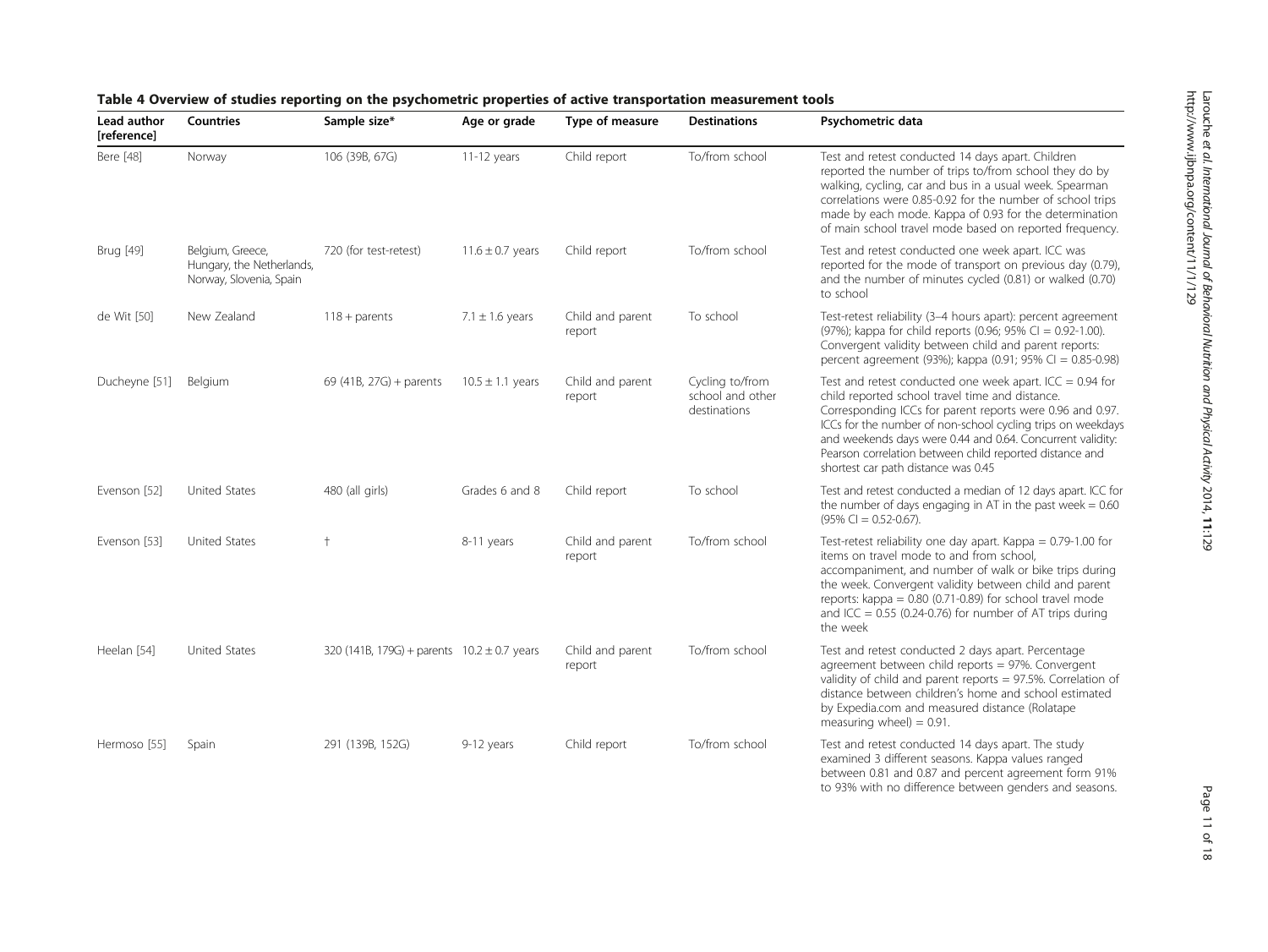| Table 4 Overview of studies reporting on the psychometric properties of active transportation measurement tools |                                                                          |                         |                      |                            |                                                     |                                                                                                                                                                                                                                                                                                                                                                                                           |  |  |  |  |
|-----------------------------------------------------------------------------------------------------------------|--------------------------------------------------------------------------|-------------------------|----------------------|----------------------------|-----------------------------------------------------|-----------------------------------------------------------------------------------------------------------------------------------------------------------------------------------------------------------------------------------------------------------------------------------------------------------------------------------------------------------------------------------------------------------|--|--|--|--|
| Lead author<br>[reference]                                                                                      | Countries                                                                | Sample size*            | Age or grade         | Type of measure            | <b>Destinations</b>                                 | Psychometric data                                                                                                                                                                                                                                                                                                                                                                                         |  |  |  |  |
| Bere [48]                                                                                                       | Norway                                                                   | 106 (39B, 67G)          | $11-12$ years        | Child report               | To/from school                                      | Test and retest conducted 14 days apart. Children<br>reported the number of trips to/from school they do by<br>walking, cycling, car and bus in a usual week. Spearman<br>correlations were 0.85-0.92 for the number of school trips<br>made by each mode. Kappa of 0.93 for the determination<br>of main school travel mode based on reported frequency.                                                 |  |  |  |  |
| Brug [49]                                                                                                       | Belgium, Greece,<br>Hungary, the Netherlands,<br>Norway, Slovenia, Spain | 720 (for test-retest)   | $11.6 \pm 0.7$ years | Child report               | To/from school                                      | Test and retest conducted one week apart. ICC was<br>reported for the mode of transport on previous day (0.79),<br>and the number of minutes cycled (0.81) or walked (0.70)<br>to school                                                                                                                                                                                                                  |  |  |  |  |
| de Wit [50]                                                                                                     | New Zealand                                                              | $118 +$ parents         | $7.1 \pm 1.6$ years  | Child and parent<br>report | To school                                           | Test-retest reliability (3-4 hours apart): percent agreement<br>(97%); kappa for child reports (0.96; 95% CI = 0.92-1.00).<br>Convergent validity between child and parent reports:<br>percent agreement (93%); kappa (0.91; 95% CI = 0.85-0.98)                                                                                                                                                          |  |  |  |  |
| Ducheyne [51]                                                                                                   | Belgium                                                                  | 69 (41B, 27G) + parents | $10.5 \pm 1.1$ years | Child and parent<br>report | Cycling to/from<br>school and other<br>destinations | Test and retest conducted one week apart. ICC = $0.94$ for<br>child reported school travel time and distance.<br>Corresponding ICCs for parent reports were 0.96 and 0.97.<br>ICCs for the number of non-school cycling trips on weekdays<br>and weekends days were 0.44 and 0.64. Concurrent validity:<br>Pearson correlation between child reported distance and<br>shortest car path distance was 0.45 |  |  |  |  |
| Evenson [52]                                                                                                    | <b>United States</b>                                                     | 480 (all girls)         | Grades 6 and 8       | Child report               | To school                                           | Test and retest conducted a median of 12 days apart. ICC for<br>the number of days engaging in AT in the past week $= 0.60$<br>$(95\% \text{ Cl} = 0.52\text{-}0.67).$                                                                                                                                                                                                                                    |  |  |  |  |
| Evenson [53]                                                                                                    | <b>United States</b>                                                     | $\ddagger$              | 8-11 years           | Child and parent<br>report | To/from school                                      | Test-retest reliability one day apart. Kappa = $0.79-1.00$ for<br>items on travel mode to and from school,<br>accompaniment, and number of walk or bike trips during<br>the week. Convergent validity between child and parent<br>reports: kappa = $0.80$ (0.71-0.89) for school travel mode<br>and ICC = $0.55$ (0.24-0.76) for number of AT trips during<br>tha waak                                    |  |  |  |  |

#### <span id="page-10-0"></span>Table 4 Overview of studies reporting on the psychometric properties of active transportation measurement tools

Evenson [\[52\]](#page-17-0) United States 480 (all girls) Grades 6 and 8 Child report To school Test and retest conducted a median of 12 days apart. ICC for the number of days engaging in AT in the past week = 0.60 (95% CI Evenson [\[53\]](#page-17-0) United States  $\begin{array}{ccc} \uparrow & \qquad & \qquad \\ \uparrow & \qquad & \qquad \\ \end{array}$  8-11 years Child and parent report To/from school Test-ret items o accomp the wee reports: and ICC the week Heelan [[54](#page-17-0)] United States 320 (141B, 179G) + parents  $10.2 \pm 0.7$  years Child and parent report To/from school Test and retest conducted 2 days apart. Percentage agreement between child reports =  $97\%$ . Convergent validity of child and parent reports = 97.5%. Correlation of distance between children's home and school estimated by Expedia.com and measured distance (Rolatape measuring wheel $) = 0.91$ . Hermoso [\[55](#page-17-0)] Spain 291 (139B, 152G) 9-12 years Child report To/from school Test and retest conducted 14 days apart. The study examined 3 different seasons. Kappa values ranged between 0.81 and 0.87 and percent agreement form 91% to 93% with no difference between genders and seasons.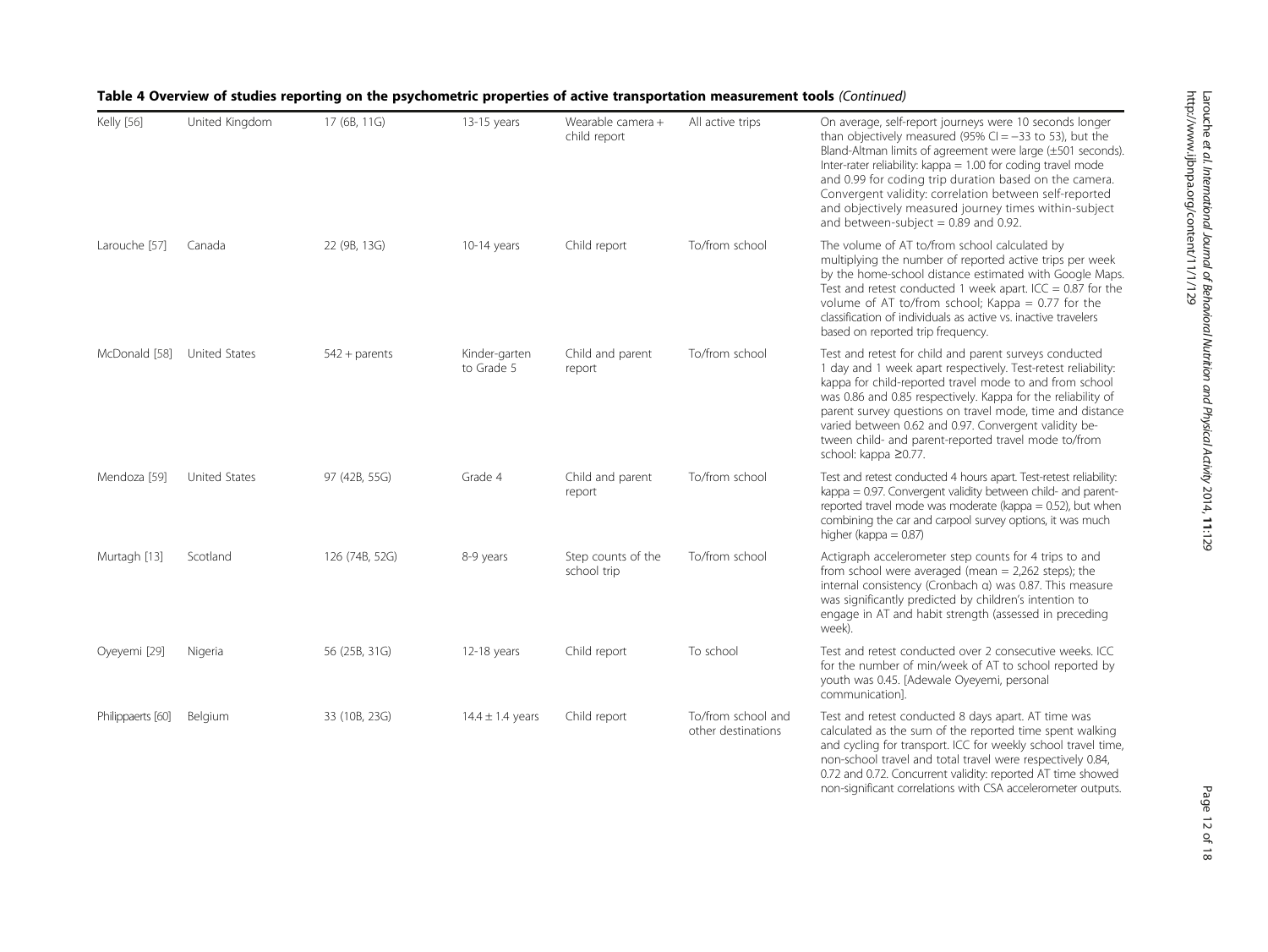| Kelly [56]        | United Kingdom       | 17 (6B, 11G)    | 13-15 years                 | Wearable camera +<br>child report | All active trips                         | On average, self-report journeys were 10 seconds longer<br>than objectively measured (95% CI = $-33$ to 53), but the<br>Bland-Altman limits of agreement were large (±501 seconds).<br>Inter-rater reliability: kappa = 1.00 for coding travel mode<br>and 0.99 for coding trip duration based on the camera.<br>Convergent validity: correlation between self-reported<br>and objectively measured journey times within-subject<br>and between-subject = $0.89$ and $0.92$ . |
|-------------------|----------------------|-----------------|-----------------------------|-----------------------------------|------------------------------------------|-------------------------------------------------------------------------------------------------------------------------------------------------------------------------------------------------------------------------------------------------------------------------------------------------------------------------------------------------------------------------------------------------------------------------------------------------------------------------------|
| Larouche [57]     | Canada               | 22 (9B, 13G)    | 10-14 years                 | Child report                      | To/from school                           | The volume of AT to/from school calculated by<br>multiplying the number of reported active trips per week<br>by the home-school distance estimated with Google Maps.<br>Test and retest conducted 1 week apart. ICC = $0.87$ for the<br>volume of AT to/from school; Kappa = $0.77$ for the<br>classification of individuals as active vs. inactive travelers<br>based on reported trip frequency.                                                                            |
| McDonald [58]     | <b>United States</b> | $542 + parents$ | Kinder-garten<br>to Grade 5 | Child and parent<br>report        | To/from school                           | Test and retest for child and parent surveys conducted<br>1 day and 1 week apart respectively. Test-retest reliability:<br>kappa for child-reported travel mode to and from school<br>was 0.86 and 0.85 respectively. Kappa for the reliability of<br>parent survey questions on travel mode, time and distance<br>varied between 0.62 and 0.97. Convergent validity be-<br>tween child- and parent-reported travel mode to/from<br>school: kappa ≥0.77.                      |
| Mendoza [59]      | United States        | 97 (42B, 55G)   | Grade 4                     | Child and parent<br>report        | To/from school                           | Test and retest conducted 4 hours apart. Test-retest reliability:<br>kappa = 0.97. Convergent validity between child- and parent-<br>reported travel mode was moderate (kappa = $0.52$ ), but when<br>combining the car and carpool survey options, it was much<br>higher (kappa $= 0.87$ )                                                                                                                                                                                   |
| Murtagh [13]      | Scotland             | 126 (74B, 52G)  | 8-9 years                   | Step counts of the<br>school trip | To/from school                           | Actigraph accelerometer step counts for 4 trips to and<br>from school were averaged (mean $= 2,262$ steps); the<br>internal consistency (Cronbach a) was 0.87. This measure<br>was significantly predicted by children's intention to<br>engage in AT and habit strength (assessed in preceding<br>week).                                                                                                                                                                     |
| Oyeyemi [29]      | Nigeria              | 56 (25B, 31G)   | 12-18 years                 | Child report                      | To school                                | Test and retest conducted over 2 consecutive weeks. ICC<br>for the number of min/week of AT to school reported by<br>youth was 0.45. [Adewale Oyeyemi, personal<br>communication].                                                                                                                                                                                                                                                                                            |
| Philippaerts [60] | Belgium              | 33 (10B, 23G)   | $14.4 \pm 1.4$ years        | Child report                      | To/from school and<br>other destinations | Test and retest conducted 8 days apart. AT time was<br>calculated as the sum of the reported time spent walking<br>and cycling for transport. ICC for weekly school travel time,<br>non-school travel and total travel were respectively 0.84,<br>0.72 and 0.72. Concurrent validity: reported AT time showed                                                                                                                                                                 |

# Table 4 Overview of studies reporting on the psychometric properties of active transportation measurement tools (Continued)

non-significant correlations with CSA accelerometer outputs.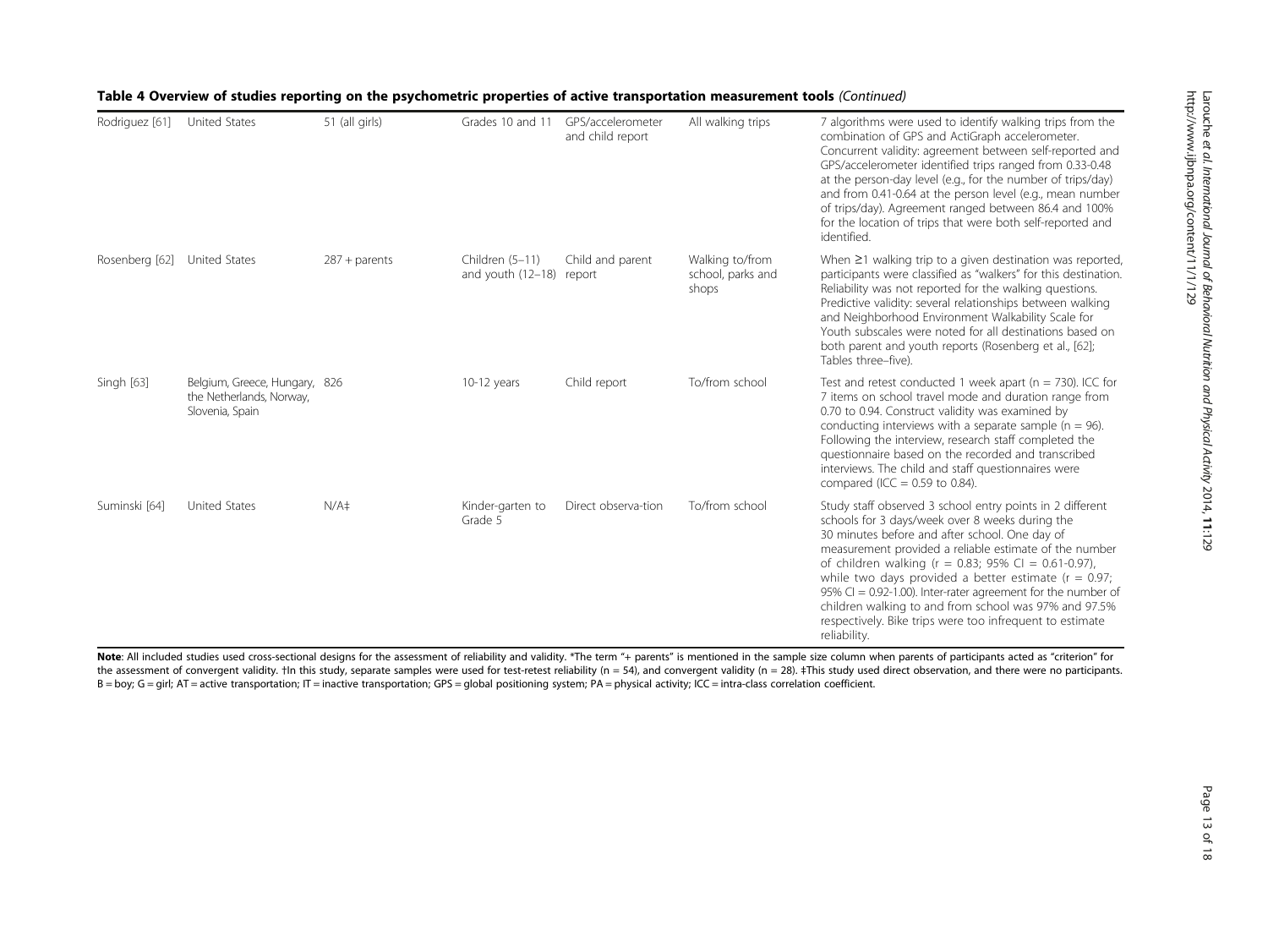| Rodriguez [61] | United States                                                                | 51 (all girls)   | Grades 10 and 11                            | GPS/accelerometer<br>and child report | All walking trips                             | 7 algorithms were used to identify walking trips from the<br>combination of GPS and ActiGraph accelerometer.<br>Concurrent validity: agreement between self-reported and<br>GPS/accelerometer identified trips ranged from 0.33-0.48<br>at the person-day level (e.g., for the number of trips/day)<br>and from 0.41-0.64 at the person level (e.g., mean number<br>of trips/day). Agreement ranged between 86.4 and 100%<br>for the location of trips that were both self-reported and<br>identified.                                                    |
|----------------|------------------------------------------------------------------------------|------------------|---------------------------------------------|---------------------------------------|-----------------------------------------------|-----------------------------------------------------------------------------------------------------------------------------------------------------------------------------------------------------------------------------------------------------------------------------------------------------------------------------------------------------------------------------------------------------------------------------------------------------------------------------------------------------------------------------------------------------------|
| Rosenberg [62] | <b>United States</b>                                                         | $287 + parents$  | Children (5-11)<br>and youth (12-18) report | Child and parent                      | Walking to/from<br>school, parks and<br>shops | When $\geq$ 1 walking trip to a given destination was reported,<br>participants were classified as "walkers" for this destination.<br>Reliability was not reported for the walking questions.<br>Predictive validity: several relationships between walking<br>and Neighborhood Environment Walkability Scale for<br>Youth subscales were noted for all destinations based on<br>both parent and youth reports (Rosenberg et al., [62];<br>Tables three-five).                                                                                            |
| Singh [63]     | Belgium, Greece, Hungary, 826<br>the Netherlands, Norway,<br>Slovenia, Spain |                  | $10-12$ years                               | Child report                          | To/from school                                | Test and retest conducted 1 week apart ( $n = 730$ ). ICC for<br>7 items on school travel mode and duration range from<br>0.70 to 0.94. Construct validity was examined by<br>conducting interviews with a separate sample ( $n = 96$ ).<br>Following the interview, research staff completed the<br>questionnaire based on the recorded and transcribed<br>interviews. The child and staff questionnaires were<br>compared (ICC = $0.59$ to 0.84).                                                                                                       |
| Suminski [64]  | <b>United States</b>                                                         | N/A <sup>±</sup> | Kinder-garten to<br>Grade 5                 | Direct observa-tion                   | To/from school                                | Study staff observed 3 school entry points in 2 different<br>schools for 3 days/week over 8 weeks during the<br>30 minutes before and after school. One day of<br>measurement provided a reliable estimate of the number<br>of children walking ( $r = 0.83$ ; 95% Cl = 0.61-0.97),<br>while two days provided a better estimate ( $r = 0.97$ ;<br>95% $Cl = 0.92 - 1.00$ ). Inter-rater agreement for the number of<br>children walking to and from school was 97% and 97.5%<br>respectively. Bike trips were too infrequent to estimate<br>reliability. |

#### Table 4 Overview of studies reporting on the psychometric properties of active transportation measurement tools (Continued)

Note: All included studies used cross-sectional designs for the assessment of reliability and validity. \*The term "+ parents" is mentioned in the sample size column when parents of participants acted as "criterion" for the assessment of convergent validity. †In this study, separate samples were used for test-retest reliability (n = 54), and convergent validity (n = 28). ‡This study used direct observation, and there were no participants.  $B = boy$ ; G = girl; AT = active transportation; IT = inactive transportation; GPS = global positioning system; PA = physical activity; ICC = intra-class correlation coefficient.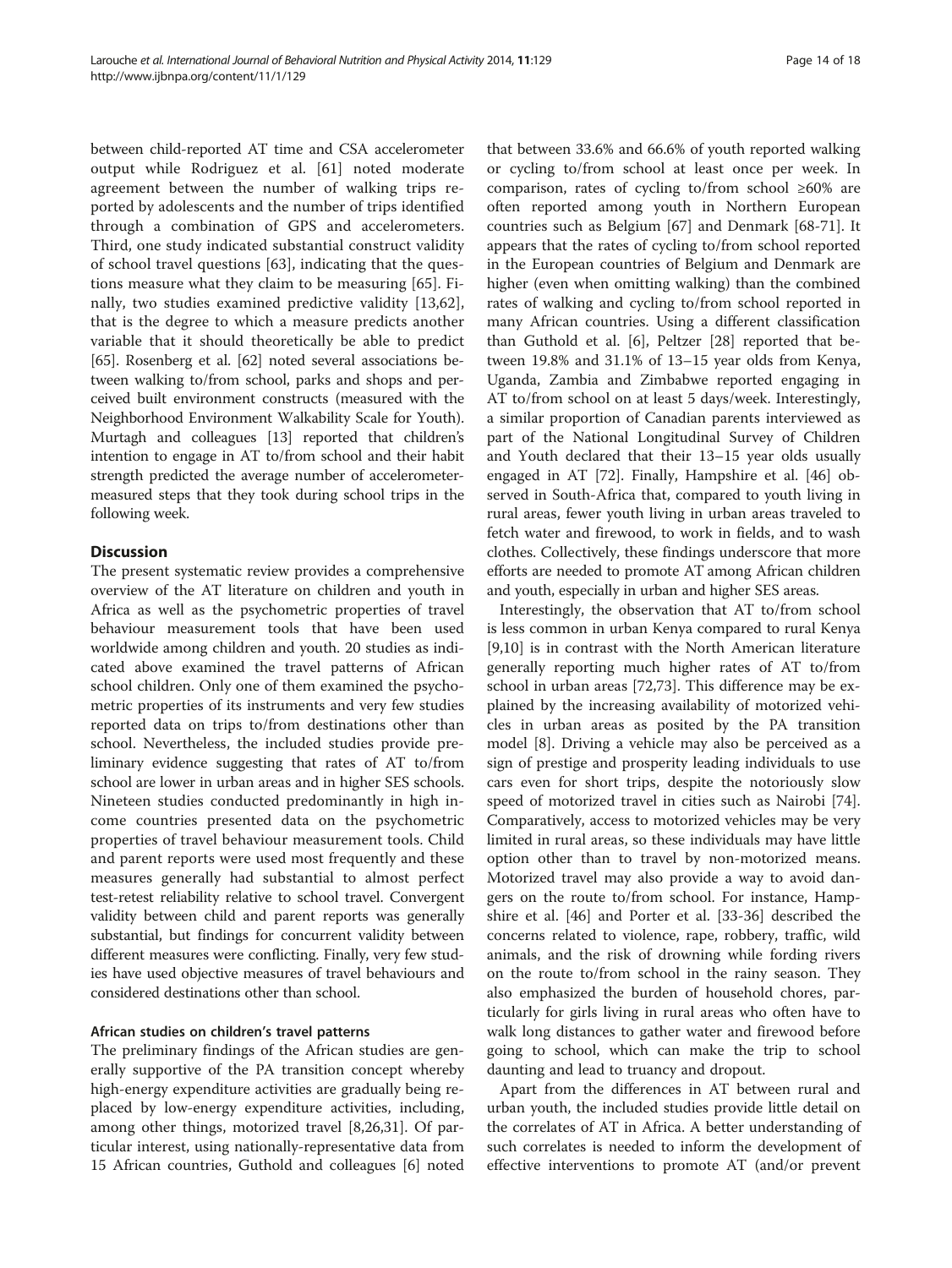between child-reported AT time and CSA accelerometer output while Rodriguez et al. [\[61](#page-17-0)] noted moderate agreement between the number of walking trips reported by adolescents and the number of trips identified through a combination of GPS and accelerometers. Third, one study indicated substantial construct validity of school travel questions [[63\]](#page-17-0), indicating that the questions measure what they claim to be measuring [[65\]](#page-17-0). Finally, two studies examined predictive validity [[13,](#page-16-0)[62](#page-17-0)], that is the degree to which a measure predicts another variable that it should theoretically be able to predict [[65](#page-17-0)]. Rosenberg et al. [[62](#page-17-0)] noted several associations between walking to/from school, parks and shops and perceived built environment constructs (measured with the Neighborhood Environment Walkability Scale for Youth). Murtagh and colleagues [\[13\]](#page-16-0) reported that children's intention to engage in AT to/from school and their habit strength predicted the average number of accelerometermeasured steps that they took during school trips in the following week.

# Discussion

The present systematic review provides a comprehensive overview of the AT literature on children and youth in Africa as well as the psychometric properties of travel behaviour measurement tools that have been used worldwide among children and youth. 20 studies as indicated above examined the travel patterns of African school children. Only one of them examined the psychometric properties of its instruments and very few studies reported data on trips to/from destinations other than school. Nevertheless, the included studies provide preliminary evidence suggesting that rates of AT to/from school are lower in urban areas and in higher SES schools. Nineteen studies conducted predominantly in high income countries presented data on the psychometric properties of travel behaviour measurement tools. Child and parent reports were used most frequently and these measures generally had substantial to almost perfect test-retest reliability relative to school travel. Convergent validity between child and parent reports was generally substantial, but findings for concurrent validity between different measures were conflicting. Finally, very few studies have used objective measures of travel behaviours and considered destinations other than school.

# African studies on children's travel patterns

The preliminary findings of the African studies are generally supportive of the PA transition concept whereby high-energy expenditure activities are gradually being replaced by low-energy expenditure activities, including, among other things, motorized travel [\[8,26,31\]](#page-16-0). Of particular interest, using nationally-representative data from 15 African countries, Guthold and colleagues [\[6\]](#page-16-0) noted

that between 33.6% and 66.6% of youth reported walking or cycling to/from school at least once per week. In comparison, rates of cycling to/from school ≥60% are often reported among youth in Northern European countries such as Belgium [\[67](#page-17-0)] and Denmark [\[68-71](#page-17-0)]. It appears that the rates of cycling to/from school reported in the European countries of Belgium and Denmark are higher (even when omitting walking) than the combined rates of walking and cycling to/from school reported in many African countries. Using a different classification than Guthold et al. [\[6](#page-16-0)], Peltzer [\[28\]](#page-16-0) reported that between 19.8% and 31.1% of 13–15 year olds from Kenya, Uganda, Zambia and Zimbabwe reported engaging in AT to/from school on at least 5 days/week. Interestingly, a similar proportion of Canadian parents interviewed as part of the National Longitudinal Survey of Children and Youth declared that their 13–15 year olds usually engaged in AT [[72](#page-17-0)]. Finally, Hampshire et al. [\[46](#page-17-0)] observed in South-Africa that, compared to youth living in rural areas, fewer youth living in urban areas traveled to fetch water and firewood, to work in fields, and to wash clothes. Collectively, these findings underscore that more efforts are needed to promote AT among African children and youth, especially in urban and higher SES areas.

Interestingly, the observation that AT to/from school is less common in urban Kenya compared to rural Kenya [[9,10\]](#page-16-0) is in contrast with the North American literature generally reporting much higher rates of AT to/from school in urban areas [[72,73\]](#page-17-0). This difference may be explained by the increasing availability of motorized vehicles in urban areas as posited by the PA transition model [\[8](#page-16-0)]. Driving a vehicle may also be perceived as a sign of prestige and prosperity leading individuals to use cars even for short trips, despite the notoriously slow speed of motorized travel in cities such as Nairobi [\[74](#page-17-0)]. Comparatively, access to motorized vehicles may be very limited in rural areas, so these individuals may have little option other than to travel by non-motorized means. Motorized travel may also provide a way to avoid dangers on the route to/from school. For instance, Hampshire et al. [\[46\]](#page-17-0) and Porter et al. [[33-36](#page-16-0)] described the concerns related to violence, rape, robbery, traffic, wild animals, and the risk of drowning while fording rivers on the route to/from school in the rainy season. They also emphasized the burden of household chores, particularly for girls living in rural areas who often have to walk long distances to gather water and firewood before going to school, which can make the trip to school daunting and lead to truancy and dropout.

Apart from the differences in AT between rural and urban youth, the included studies provide little detail on the correlates of AT in Africa. A better understanding of such correlates is needed to inform the development of effective interventions to promote AT (and/or prevent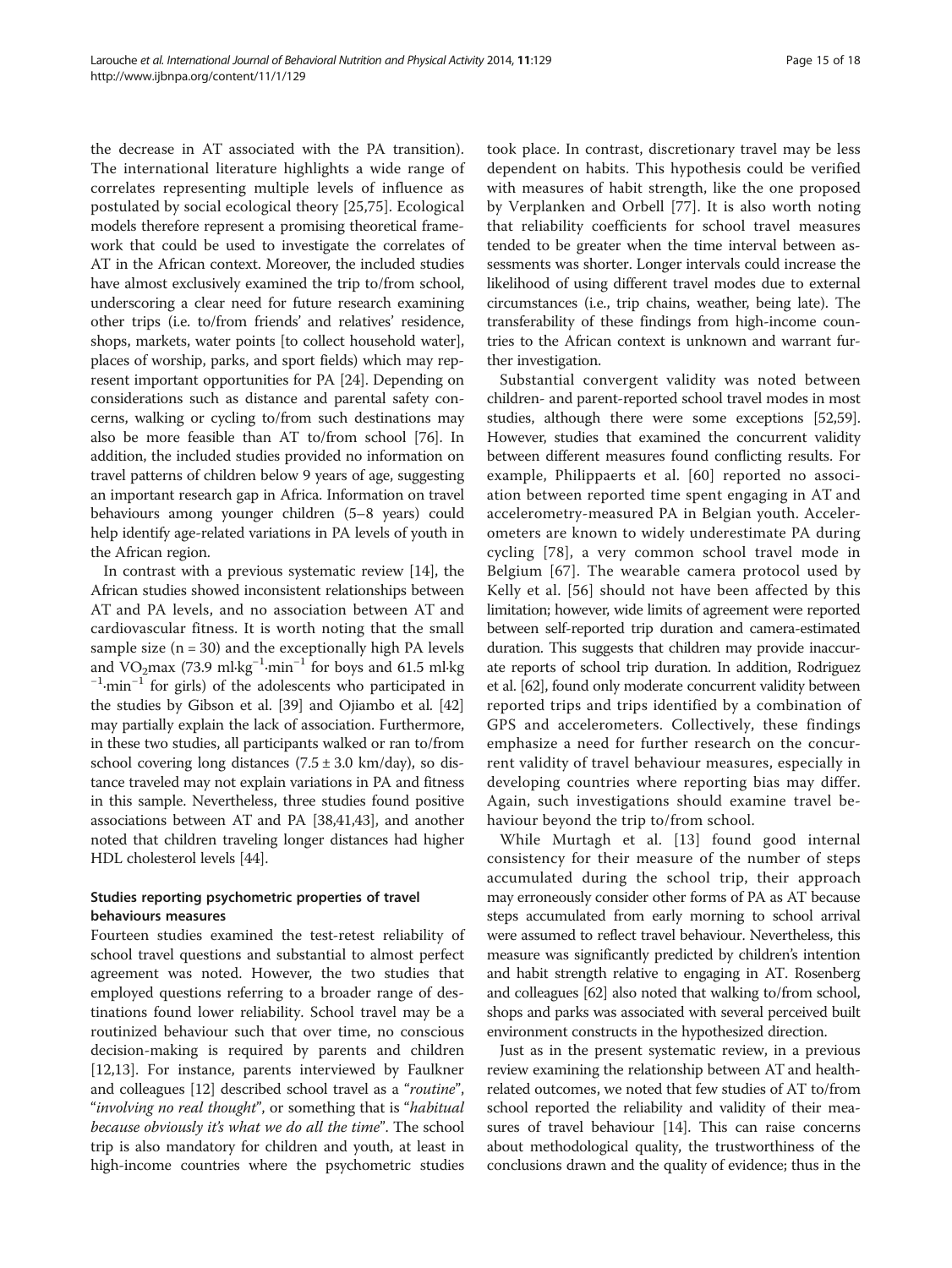the decrease in AT associated with the PA transition). The international literature highlights a wide range of correlates representing multiple levels of influence as postulated by social ecological theory [[25,](#page-16-0)[75](#page-17-0)]. Ecological models therefore represent a promising theoretical framework that could be used to investigate the correlates of AT in the African context. Moreover, the included studies have almost exclusively examined the trip to/from school, underscoring a clear need for future research examining other trips (i.e. to/from friends' and relatives' residence, shops, markets, water points [to collect household water], places of worship, parks, and sport fields) which may represent important opportunities for PA [[24](#page-16-0)]. Depending on considerations such as distance and parental safety concerns, walking or cycling to/from such destinations may also be more feasible than AT to/from school [\[76\]](#page-17-0). In addition, the included studies provided no information on travel patterns of children below 9 years of age, suggesting an important research gap in Africa. Information on travel behaviours among younger children (5–8 years) could help identify age-related variations in PA levels of youth in the African region.

In contrast with a previous systematic review [\[14\]](#page-16-0), the African studies showed inconsistent relationships between AT and PA levels, and no association between AT and cardiovascular fitness. It is worth noting that the small sample size  $(n = 30)$  and the exceptionally high PA levels and VO<sub>2</sub>max (73.9 ml⋅kg<sup>-1</sup>⋅min<sup>-1</sup> for boys and 61.5 ml⋅kg<br><sup>-1</sup> min<sup>-1</sup> for girls) of the adelescents who participated in  $\lambda$ <sup>-1</sup>⋅min<sup>-1</sup> for girls) of the adolescents who participated in the studies by Gibson et al. [\[39\]](#page-16-0) and Ojiambo et al. [[42](#page-16-0)] may partially explain the lack of association. Furthermore, in these two studies, all participants walked or ran to/from school covering long distances  $(7.5 \pm 3.0 \text{ km/day})$ , so distance traveled may not explain variations in PA and fitness in this sample. Nevertheless, three studies found positive associations between AT and PA [[38,41,43\]](#page-16-0), and another noted that children traveling longer distances had higher HDL cholesterol levels [[44\]](#page-17-0).

# Studies reporting psychometric properties of travel behaviours measures

Fourteen studies examined the test-retest reliability of school travel questions and substantial to almost perfect agreement was noted. However, the two studies that employed questions referring to a broader range of destinations found lower reliability. School travel may be a routinized behaviour such that over time, no conscious decision-making is required by parents and children [[12,13\]](#page-16-0). For instance, parents interviewed by Faulkner and colleagues [\[12\]](#page-16-0) described school travel as a "routine", "involving no real thought", or something that is "habitual because obviously it's what we do all the time". The school trip is also mandatory for children and youth, at least in high-income countries where the psychometric studies took place. In contrast, discretionary travel may be less dependent on habits. This hypothesis could be verified with measures of habit strength, like the one proposed by Verplanken and Orbell [[77](#page-17-0)]. It is also worth noting that reliability coefficients for school travel measures tended to be greater when the time interval between assessments was shorter. Longer intervals could increase the likelihood of using different travel modes due to external circumstances (i.e., trip chains, weather, being late). The transferability of these findings from high-income countries to the African context is unknown and warrant further investigation.

Substantial convergent validity was noted between children- and parent-reported school travel modes in most studies, although there were some exceptions [\[52,59](#page-17-0)]. However, studies that examined the concurrent validity between different measures found conflicting results. For example, Philippaerts et al. [[60](#page-17-0)] reported no association between reported time spent engaging in AT and accelerometry-measured PA in Belgian youth. Accelerometers are known to widely underestimate PA during cycling [[78](#page-17-0)], a very common school travel mode in Belgium [\[67](#page-17-0)]. The wearable camera protocol used by Kelly et al. [\[56](#page-17-0)] should not have been affected by this limitation; however, wide limits of agreement were reported between self-reported trip duration and camera-estimated duration. This suggests that children may provide inaccurate reports of school trip duration. In addition, Rodriguez et al. [[62\]](#page-17-0), found only moderate concurrent validity between reported trips and trips identified by a combination of GPS and accelerometers. Collectively, these findings emphasize a need for further research on the concurrent validity of travel behaviour measures, especially in developing countries where reporting bias may differ. Again, such investigations should examine travel behaviour beyond the trip to/from school.

While Murtagh et al. [[13](#page-16-0)] found good internal consistency for their measure of the number of steps accumulated during the school trip, their approach may erroneously consider other forms of PA as AT because steps accumulated from early morning to school arrival were assumed to reflect travel behaviour. Nevertheless, this measure was significantly predicted by children's intention and habit strength relative to engaging in AT. Rosenberg and colleagues [\[62](#page-17-0)] also noted that walking to/from school, shops and parks was associated with several perceived built environment constructs in the hypothesized direction.

Just as in the present systematic review, in a previous review examining the relationship between AT and healthrelated outcomes, we noted that few studies of AT to/from school reported the reliability and validity of their measures of travel behaviour [[14](#page-16-0)]. This can raise concerns about methodological quality, the trustworthiness of the conclusions drawn and the quality of evidence; thus in the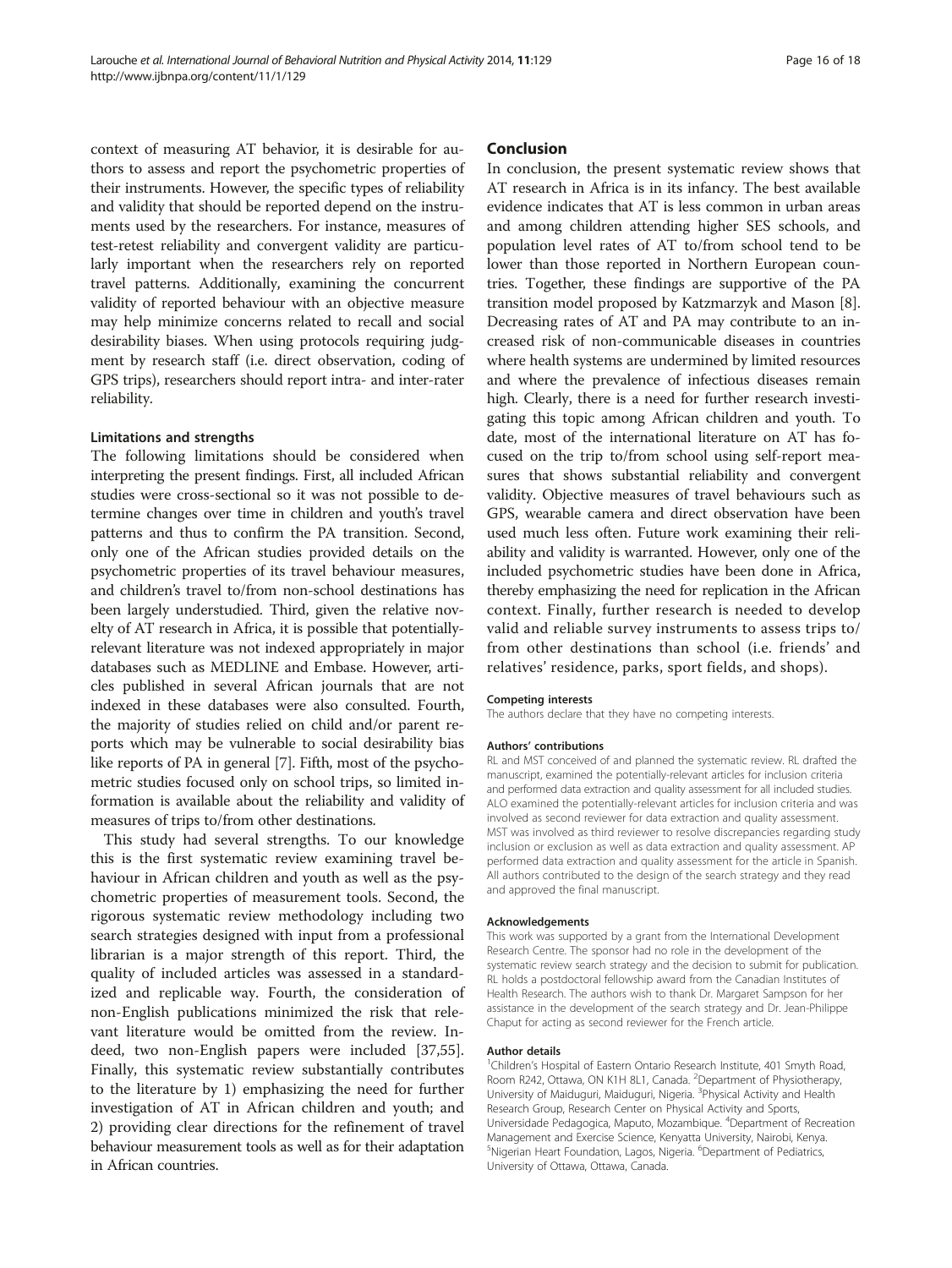context of measuring AT behavior, it is desirable for authors to assess and report the psychometric properties of their instruments. However, the specific types of reliability and validity that should be reported depend on the instruments used by the researchers. For instance, measures of test-retest reliability and convergent validity are particularly important when the researchers rely on reported travel patterns. Additionally, examining the concurrent validity of reported behaviour with an objective measure may help minimize concerns related to recall and social desirability biases. When using protocols requiring judgment by research staff (i.e. direct observation, coding of GPS trips), researchers should report intra- and inter-rater reliability.

#### Limitations and strengths

The following limitations should be considered when interpreting the present findings. First, all included African studies were cross-sectional so it was not possible to determine changes over time in children and youth's travel patterns and thus to confirm the PA transition. Second, only one of the African studies provided details on the psychometric properties of its travel behaviour measures, and children's travel to/from non-school destinations has been largely understudied. Third, given the relative novelty of AT research in Africa, it is possible that potentiallyrelevant literature was not indexed appropriately in major databases such as MEDLINE and Embase. However, articles published in several African journals that are not indexed in these databases were also consulted. Fourth, the majority of studies relied on child and/or parent reports which may be vulnerable to social desirability bias like reports of PA in general [[7\]](#page-16-0). Fifth, most of the psychometric studies focused only on school trips, so limited information is available about the reliability and validity of measures of trips to/from other destinations.

This study had several strengths. To our knowledge this is the first systematic review examining travel behaviour in African children and youth as well as the psychometric properties of measurement tools. Second, the rigorous systematic review methodology including two search strategies designed with input from a professional librarian is a major strength of this report. Third, the quality of included articles was assessed in a standardized and replicable way. Fourth, the consideration of non-English publications minimized the risk that relevant literature would be omitted from the review. Indeed, two non-English papers were included [\[37](#page-16-0)[,55](#page-17-0)]. Finally, this systematic review substantially contributes to the literature by 1) emphasizing the need for further investigation of AT in African children and youth; and 2) providing clear directions for the refinement of travel behaviour measurement tools as well as for their adaptation in African countries.

#### Conclusion

In conclusion, the present systematic review shows that AT research in Africa is in its infancy. The best available evidence indicates that AT is less common in urban areas and among children attending higher SES schools, and population level rates of AT to/from school tend to be lower than those reported in Northern European countries. Together, these findings are supportive of the PA transition model proposed by Katzmarzyk and Mason [[8](#page-16-0)]. Decreasing rates of AT and PA may contribute to an increased risk of non-communicable diseases in countries where health systems are undermined by limited resources and where the prevalence of infectious diseases remain high. Clearly, there is a need for further research investigating this topic among African children and youth. To date, most of the international literature on AT has focused on the trip to/from school using self-report measures that shows substantial reliability and convergent validity. Objective measures of travel behaviours such as GPS, wearable camera and direct observation have been used much less often. Future work examining their reliability and validity is warranted. However, only one of the included psychometric studies have been done in Africa, thereby emphasizing the need for replication in the African context. Finally, further research is needed to develop valid and reliable survey instruments to assess trips to/ from other destinations than school (i.e. friends' and relatives' residence, parks, sport fields, and shops).

#### Competing interests

The authors declare that they have no competing interests.

#### Authors' contributions

RL and MST conceived of and planned the systematic review. RL drafted the manuscript, examined the potentially-relevant articles for inclusion criteria and performed data extraction and quality assessment for all included studies. ALO examined the potentially-relevant articles for inclusion criteria and was involved as second reviewer for data extraction and quality assessment. MST was involved as third reviewer to resolve discrepancies regarding study inclusion or exclusion as well as data extraction and quality assessment. AP performed data extraction and quality assessment for the article in Spanish. All authors contributed to the design of the search strategy and they read and approved the final manuscript.

#### Acknowledgements

This work was supported by a grant from the International Development Research Centre. The sponsor had no role in the development of the systematic review search strategy and the decision to submit for publication. RL holds a postdoctoral fellowship award from the Canadian Institutes of Health Research. The authors wish to thank Dr. Margaret Sampson for her assistance in the development of the search strategy and Dr. Jean-Philippe Chaput for acting as second reviewer for the French article.

#### Author details

<sup>1</sup>Children's Hospital of Eastern Ontario Research Institute, 401 Smyth Road Room R242, Ottawa, ON K1H 8L1, Canada. <sup>2</sup>Department of Physiotherapy University of Maiduguri, Maiduguri, Nigeria. <sup>3</sup>Physical Activity and Health Research Group, Research Center on Physical Activity and Sports, Universidade Pedagogica, Maputo, Mozambique. <sup>4</sup> Department of Recreation Management and Exercise Science, Kenyatta University, Nairobi, Kenya. <sup>5</sup>Nigerian Heart Foundation, Lagos, Nigeria. <sup>6</sup>Department of Pediatrics University of Ottawa, Ottawa, Canada.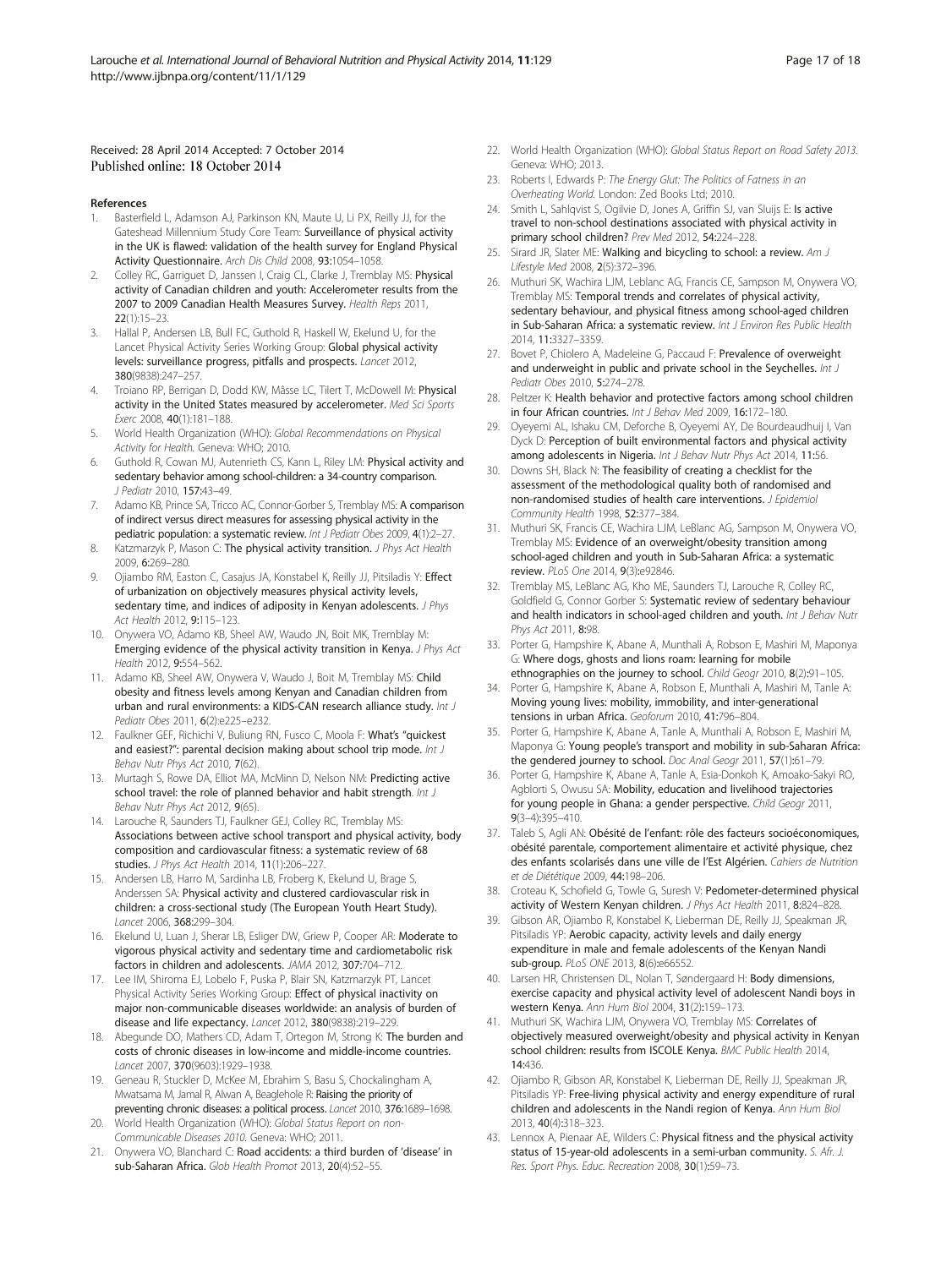#### <span id="page-16-0"></span>Received: 28 April 2014 Accepted: 7 October 2014 Published online: 18 October 2014

#### References

- Basterfield L, Adamson AJ, Parkinson KN, Maute U, Li PX, Reilly JJ, for the Gateshead Millennium Study Core Team: Surveillance of physical activity in the UK is flawed: validation of the health survey for England Physical Activity Questionnaire. Arch Dis Child 2008, 93:1054–1058.
- 2. Colley RC, Garriguet D, Janssen I, Craig CL, Clarke J, Tremblay MS: Physical activity of Canadian children and youth: Accelerometer results from the 2007 to 2009 Canadian Health Measures Survey. Health Reps 2011, 22(1):15–23.
- 3. Hallal P, Andersen LB, Bull FC, Guthold R, Haskell W, Ekelund U, for the Lancet Physical Activity Series Working Group: Global physical activity levels: surveillance progress, pitfalls and prospects. Lancet 2012, 380(9838):247–257.
- 4. Troiano RP, Berrigan D, Dodd KW, Mâsse LC, Tilert T, McDowell M: Physical activity in the United States measured by accelerometer. Med Sci Sports Exerc 2008, 40(1):181–188.
- 5. World Health Organization (WHO): Global Recommendations on Physical Activity for Health. Geneva: WHO; 2010.
- 6. Guthold R, Cowan MJ, Autenrieth CS, Kann L, Riley LM: Physical activity and sedentary behavior among school-children: a 34-country comparison. J Pediatr 2010, 157:43–49.
- 7. Adamo KB, Prince SA, Tricco AC, Connor-Gorber S, Tremblay MS: A comparison of indirect versus direct measures for assessing physical activity in the pediatric population: a systematic review. Int J Pediatr Obes 2009, 4(1):2–27.
- Katzmarzyk P, Mason C: The physical activity transition. J Phys Act Health 2009, 6:269–280.
- 9. Ojiambo RM, Easton C, Casajus JA, Konstabel K, Reilly JJ, Pitsiladis Y: Effect of urbanization on objectively measures physical activity levels, sedentary time, and indices of adiposity in Kenyan adolescents. J Phys Act Health 2012, 9:115–123.
- 10. Onywera VO, Adamo KB, Sheel AW, Waudo JN, Boit MK, Tremblay M: Emerging evidence of the physical activity transition in Kenya. J Phys Act Health 2012, 9:554–562.
- 11. Adamo KB, Sheel AW, Onywera V, Waudo J, Boit M, Tremblay MS: Child obesity and fitness levels among Kenyan and Canadian children from urban and rural environments: a KIDS-CAN research alliance study. Int J Pediatr Obes 2011, 6(2):e225–e232.
- 12. Faulkner GEF, Richichi V, Buliung RN, Fusco C, Moola F: What's "quickest and easiest?": parental decision making about school trip mode. Int J Behav Nutr Phys Act 2010, 7(62).
- 13. Murtagh S, Rowe DA, Elliot MA, McMinn D, Nelson NM: Predicting active school travel: the role of planned behavior and habit strength. Int J Behav Nutr Phys Act 2012, 9(65).
- 14. Larouche R, Saunders TJ, Faulkner GEJ, Colley RC, Tremblay MS: Associations between active school transport and physical activity, body composition and cardiovascular fitness: a systematic review of 68 studies. J Phys Act Health 2014, 11(1):206–227.
- 15. Andersen LB, Harro M, Sardinha LB, Froberg K, Ekelund U, Brage S, Anderssen SA: Physical activity and clustered cardiovascular risk in children: a cross-sectional study (The European Youth Heart Study). Lancet 2006, 368:299–304.
- 16. Ekelund U, Luan J, Sherar LB, Esliger DW, Griew P, Cooper AR: Moderate to vigorous physical activity and sedentary time and cardiometabolic risk factors in children and adolescents. JAMA 2012, 307:704–712.
- 17. Lee IM, Shiroma EJ, Lobelo F, Puska P, Blair SN, Katzmarzyk PT, Lancet Physical Activity Series Working Group: Effect of physical inactivity on major non-communicable diseases worldwide: an analysis of burden of disease and life expectancy. Lancet 2012, 380(9838):219–229.
- 18. Abegunde DO, Mathers CD, Adam T, Ortegon M, Strong K: The burden and costs of chronic diseases in low-income and middle-income countries. Lancet 2007, 370(9603):1929–1938.
- 19. Geneau R, Stuckler D, McKee M, Ebrahim S, Basu S, Chockalingham A, Mwatsama M, Jamal R, Alwan A, Beaglehole R: Raising the priority of preventing chronic diseases: a political process. Lancet 2010, 376:1689–1698.
- World Health Organization (WHO): Global Status Report on non-Communicable Diseases 2010. Geneva: WHO; 2011.
- 21. Onywera VO, Blanchard C: Road accidents: a third burden of 'disease' in sub-Saharan Africa. Glob Health Promot 2013, 20(4):52–55.
- 22. World Health Organization (WHO): Global Status Report on Road Safety 2013. Geneva: WHO; 2013.
- 23. Roberts I, Edwards P: The Energy Glut: The Politics of Fatness in an Overheating World. London: Zed Books Ltd; 2010.
- 24. Smith L, Sahlqvist S, Ogilvie D, Jones A, Griffin SJ, van Sluijs E: Is active travel to non-school destinations associated with physical activity in primary school children? Prev Med 2012, 54:224–228.
- 25. Sirard JR, Slater ME: Walking and bicycling to school: a review. Am J Lifestyle Med 2008, 2(5):372–396.
- 26. Muthuri SK, Wachira LJM, Leblanc AG, Francis CE, Sampson M, Onywera VO, Tremblay MS: Temporal trends and correlates of physical activity, sedentary behaviour, and physical fitness among school-aged children in Sub-Saharan Africa: a systematic review. Int J Environ Res Public Health 2014, 11:3327–3359.
- 27. Bovet P, Chiolero A, Madeleine G, Paccaud F: Prevalence of overweight and underweight in public and private school in the Seychelles. Int J Pediatr Obes 2010, 5:274–278.
- 28. Peltzer K: Health behavior and protective factors among school children in four African countries. Int J Behav Med 2009, 16:172–180.
- 29. Oyeyemi AL, Ishaku CM, Deforche B, Oyeyemi AY, De Bourdeaudhuij I, Van Dyck D: Perception of built environmental factors and physical activity among adolescents in Nigeria. Int J Behav Nutr Phys Act 2014, 11:56.
- 30. Downs SH, Black N: The feasibility of creating a checklist for the assessment of the methodological quality both of randomised and non-randomised studies of health care interventions. J Epidemiol Community Health 1998, 52:377–384.
- 31. Muthuri SK, Francis CE, Wachira LJM, LeBlanc AG, Sampson M, Onywera VO, Tremblay MS: Evidence of an overweight/obesity transition among school-aged children and youth in Sub-Saharan Africa: a systematic review. PLoS One 2014, 9(3):e92846.
- 32. Tremblay MS, LeBlanc AG, Kho ME, Saunders TJ, Larouche R, Colley RC, Goldfield G, Connor Gorber S: Systematic review of sedentary behaviour and health indicators in school-aged children and youth. Int J Behav Nutr Phys Act 2011, 8:98.
- 33. Porter G, Hampshire K, Abane A, Munthali A, Robson E, Mashiri M, Maponya G: Where dogs, ghosts and lions roam: learning for mobile ethnographies on the journey to school. Child Geogr 2010, 8(2):91-105.
- 34. Porter G, Hampshire K, Abane A, Robson E, Munthali A, Mashiri M, Tanle A: Moving young lives: mobility, immobility, and inter-generational tensions in urban Africa. Geoforum 2010, 41:796–804.
- 35. Porter G, Hampshire K, Abane A, Tanle A, Munthali A, Robson E, Mashiri M, Maponya G: Young people's transport and mobility in sub-Saharan Africa: the gendered journey to school. Doc Anal Geogr 2011, 57(1):61-79.
- 36. Porter G, Hampshire K, Abane A, Tanle A, Esia-Donkoh K, Amoako-Sakyi RO, Agblorti S, Owusu SA: Mobility, education and livelihood trajectories for young people in Ghana: a gender perspective. Child Geogr 2011, 9(3–4):395–410.
- 37. Taleb S, Agli AN: Obésité de l'enfant: rôle des facteurs socioéconomiques, obésité parentale, comportement alimentaire et activité physique, chez des enfants scolarisés dans une ville de l'Est Algérien. Cahiers de Nutrition et de Diététique 2009, 44:198–206.
- 38. Croteau K, Schofield G, Towle G, Suresh V: Pedometer-determined physical activity of Western Kenyan children. J Phys Act Health 2011, 8:824-828.
- 39. Gibson AR, Ojiambo R, Konstabel K, Lieberman DE, Reilly JJ, Speakman JR, Pitsiladis YP: Aerobic capacity, activity levels and daily energy expenditure in male and female adolescents of the Kenyan Nandi sub-group. PLoS ONE 2013, 8(6):e66552.
- 40. Larsen HR, Christensen DL, Nolan T, Søndergaard H: Body dimensions, exercise capacity and physical activity level of adolescent Nandi boys in western Kenya. Ann Hum Biol 2004, 31(2):159–173.
- 41. Muthuri SK, Wachira LJM, Onywera VO, Tremblay MS: Correlates of objectively measured overweight/obesity and physical activity in Kenyan school children: results from ISCOLE Kenya. BMC Public Health 2014, 14:436.
- 42. Ojiambo R, Gibson AR, Konstabel K, Lieberman DE, Reilly JJ, Speakman JR, Pitsiladis YP: Free-living physical activity and energy expenditure of rural children and adolescents in the Nandi region of Kenya. Ann Hum Biol 2013, 40(4):318–323.
- 43. Lennox A, Pienaar AE, Wilders C: Physical fitness and the physical activity status of 15-year-old adolescents in a semi-urban community. S. Afr. J. Res. Sport Phys. Educ. Recreation 2008, 30(1):59–73.